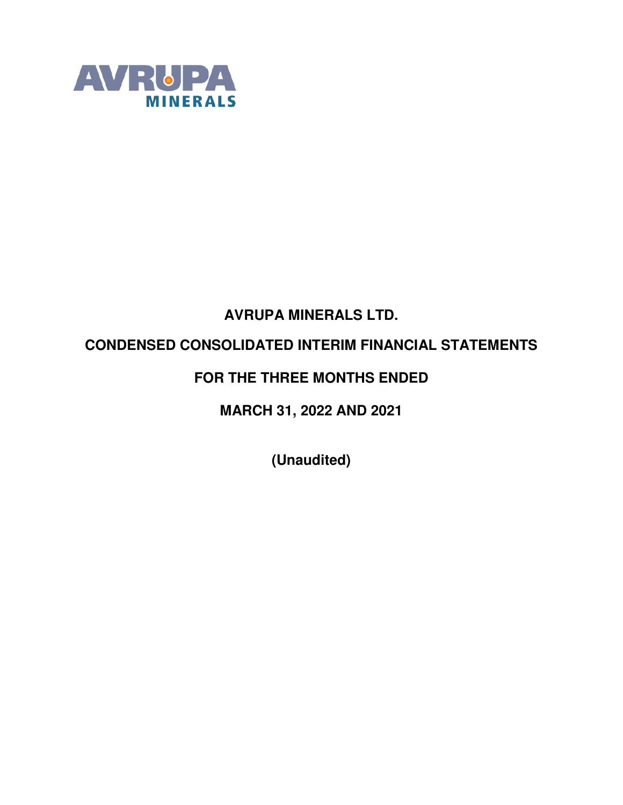

# **AVRUPA MINERALS LTD.**

## **CONDENSED CONSOLIDATED INTERIM FINANCIAL STATEMENTS**

## **FOR THE THREE MONTHS ENDED**

**MARCH 31, 2022 AND 2021** 

**(Unaudited)**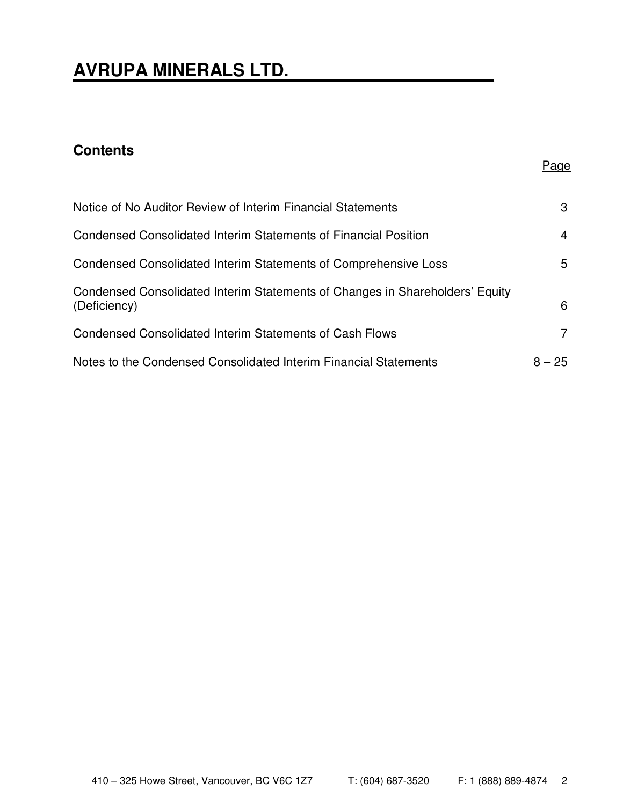# **AVRUPA MINERALS LTD.**

## **Contents**

| Notice of No Auditor Review of Interim Financial Statements                                  | 3        |
|----------------------------------------------------------------------------------------------|----------|
| Condensed Consolidated Interim Statements of Financial Position                              | 4        |
| Condensed Consolidated Interim Statements of Comprehensive Loss                              | 5        |
| Condensed Consolidated Interim Statements of Changes in Shareholders' Equity<br>(Deficiency) | 6        |
| <b>Condensed Consolidated Interim Statements of Cash Flows</b>                               | 7        |
| Notes to the Condensed Consolidated Interim Financial Statements                             | $8 - 25$ |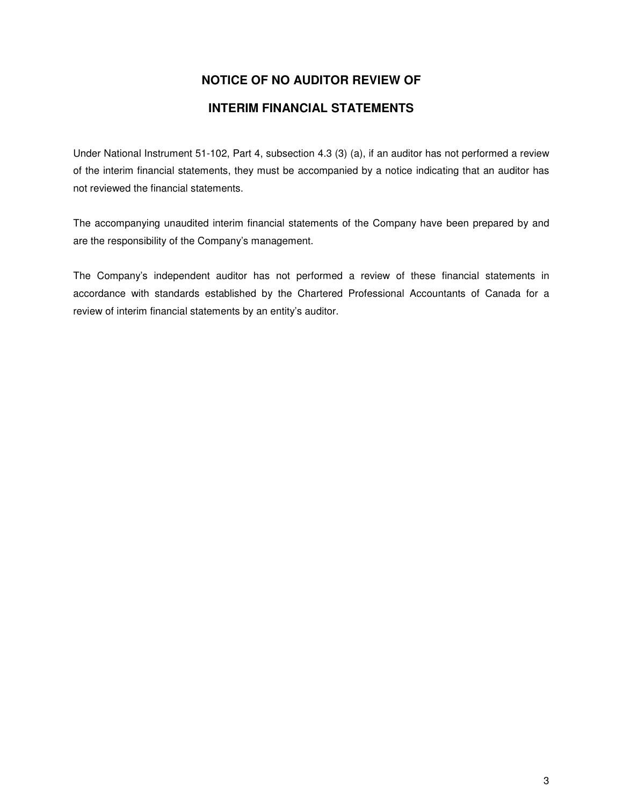## **NOTICE OF NO AUDITOR REVIEW OF**

### **INTERIM FINANCIAL STATEMENTS**

Under National Instrument 51-102, Part 4, subsection 4.3 (3) (a), if an auditor has not performed a review of the interim financial statements, they must be accompanied by a notice indicating that an auditor has not reviewed the financial statements.

The accompanying unaudited interim financial statements of the Company have been prepared by and are the responsibility of the Company's management.

The Company's independent auditor has not performed a review of these financial statements in accordance with standards established by the Chartered Professional Accountants of Canada for a review of interim financial statements by an entity's auditor.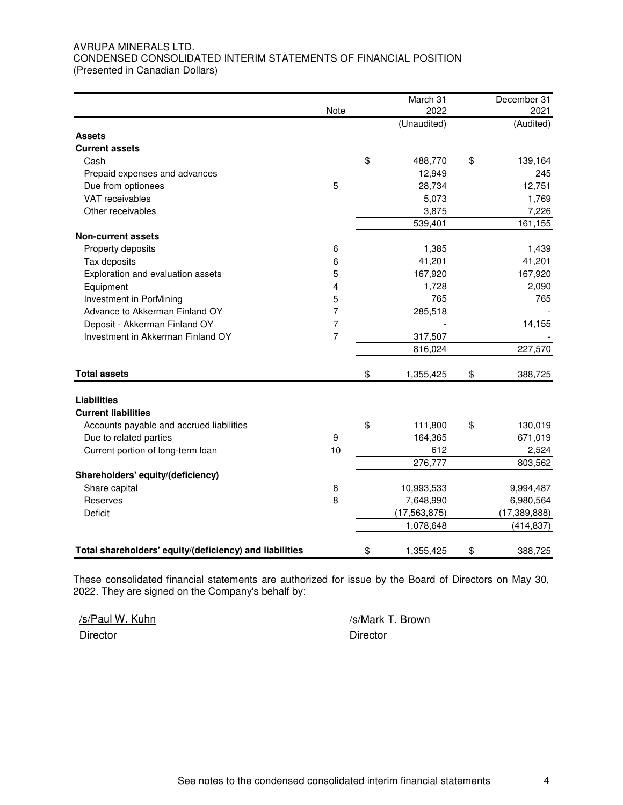#### AVRUPA MINERALS LTD. CONDENSED CONSOLIDATED INTERIM STATEMENTS OF FINANCIAL POSITION (Presented in Canadian Dollars)

|                                                         |      | March 31        | December 31    |
|---------------------------------------------------------|------|-----------------|----------------|
|                                                         | Note | 2022            | 2021           |
|                                                         |      | (Unaudited)     | (Audited)      |
| <b>Assets</b>                                           |      |                 |                |
| <b>Current assets</b>                                   |      |                 |                |
| Cash                                                    |      | \$<br>488,770   | \$<br>139,164  |
| Prepaid expenses and advances                           |      | 12,949          | 245            |
| Due from optionees                                      | 5    | 28,734          | 12,751         |
| VAT receivables                                         |      | 5,073           | 1,769          |
| Other receivables                                       |      | 3,875           | 7,226          |
|                                                         |      | 539,401         | 161,155        |
| <b>Non-current assets</b>                               |      |                 |                |
| Property deposits                                       | 6    | 1,385           | 1,439          |
| Tax deposits                                            | 6    | 41,201          | 41,201         |
| Exploration and evaluation assets                       | 5    | 167,920         | 167,920        |
| Equipment                                               | 4    | 1,728           | 2,090          |
| Investment in PorMining                                 | 5    | 765             | 765            |
| Advance to Akkerman Finland OY                          | 7    | 285,518         |                |
| Deposit - Akkerman Finland OY                           | 7    |                 | 14,155         |
| Investment in Akkerman Finland OY                       | 7    | 317,507         |                |
|                                                         |      | 816,024         | 227,570        |
| <b>Total assets</b>                                     |      | \$<br>1,355,425 | \$<br>388,725  |
|                                                         |      |                 |                |
| <b>Liabilities</b>                                      |      |                 |                |
| <b>Current liabilities</b>                              |      |                 |                |
| Accounts payable and accrued liabilities                |      | \$<br>111,800   | \$<br>130,019  |
| Due to related parties                                  | 9    | 164,365         | 671,019        |
| Current portion of long-term loan                       | 10   | 612             | 2,524          |
|                                                         |      | 276,777         | 803,562        |
| Shareholders' equity/(deficiency)                       |      |                 |                |
| Share capital                                           | 8    | 10,993,533      | 9,994,487      |
| Reserves                                                | 8    | 7,648,990       | 6,980,564      |
| Deficit                                                 |      | (17, 563, 875)  | (17, 389, 888) |
|                                                         |      | 1,078,648       | (414, 837)     |
| Total shareholders' equity/(deficiency) and liabilities |      | \$<br>1,355,425 | \$<br>388,725  |

These consolidated financial statements are authorized for issue by the Board of Directors on May 30, 2022. They are signed on the Company's behalf by:

/s/Paul W. Kuhn /s/Mark T. Brown Director **Director** Director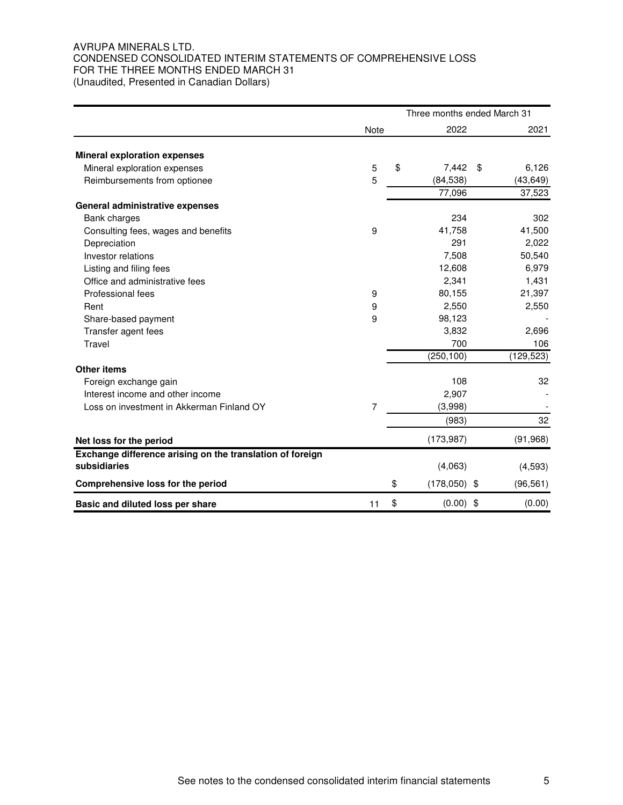#### AVRUPA MINERALS LTD. CONDENSED CONSOLIDATED INTERIM STATEMENTS OF COMPREHENSIVE LOSS FOR THE THREE MONTHS ENDED MARCH 31 (Unaudited, Presented in Canadian Dollars)

|                                                           |      | Three months ended March 31 |    |            |  |
|-----------------------------------------------------------|------|-----------------------------|----|------------|--|
|                                                           | Note | 2022                        |    | 2021       |  |
| <b>Mineral exploration expenses</b>                       |      |                             |    |            |  |
| Mineral exploration expenses                              | 5    | \$<br>7,442                 | \$ | 6,126      |  |
| Reimbursements from optionee                              | 5    | (84, 538)                   |    | (43, 649)  |  |
|                                                           |      | 77,096                      |    | 37,523     |  |
| General administrative expenses                           |      |                             |    |            |  |
| Bank charges                                              |      | 234                         |    | 302        |  |
| Consulting fees, wages and benefits                       | 9    | 41,758                      |    | 41,500     |  |
| Depreciation                                              |      | 291                         |    | 2,022      |  |
| Investor relations                                        |      | 7,508                       |    | 50,540     |  |
| Listing and filing fees                                   |      | 12,608                      |    | 6,979      |  |
| Office and administrative fees                            |      | 2,341                       |    | 1,431      |  |
| Professional fees                                         | 9    | 80,155                      |    | 21,397     |  |
| Rent                                                      | 9    | 2,550                       |    | 2,550      |  |
| Share-based payment                                       | 9    | 98,123                      |    |            |  |
| Transfer agent fees                                       |      | 3,832                       |    | 2,696      |  |
| Travel                                                    |      | 700                         |    | 106        |  |
|                                                           |      | (250, 100)                  |    | (129, 523) |  |
| <b>Other items</b>                                        |      |                             |    |            |  |
| Foreign exchange gain                                     |      | 108                         |    | 32         |  |
| Interest income and other income                          |      | 2,907                       |    |            |  |
| Loss on investment in Akkerman Finland OY                 | 7    | (3,998)                     |    |            |  |
|                                                           |      | (983)                       |    | 32         |  |
| Net loss for the period                                   |      | (173, 987)                  |    | (91, 968)  |  |
| Exchange difference arising on the translation of foreign |      |                             |    |            |  |
| subsidiaries                                              |      | (4,063)                     |    | (4,593)    |  |
| Comprehensive loss for the period                         |      | \$<br>$(178,050)$ \$        |    | (96, 561)  |  |
| Basic and diluted loss per share                          | 11   | \$<br>$(0.00)$ \$           |    | (0.00)     |  |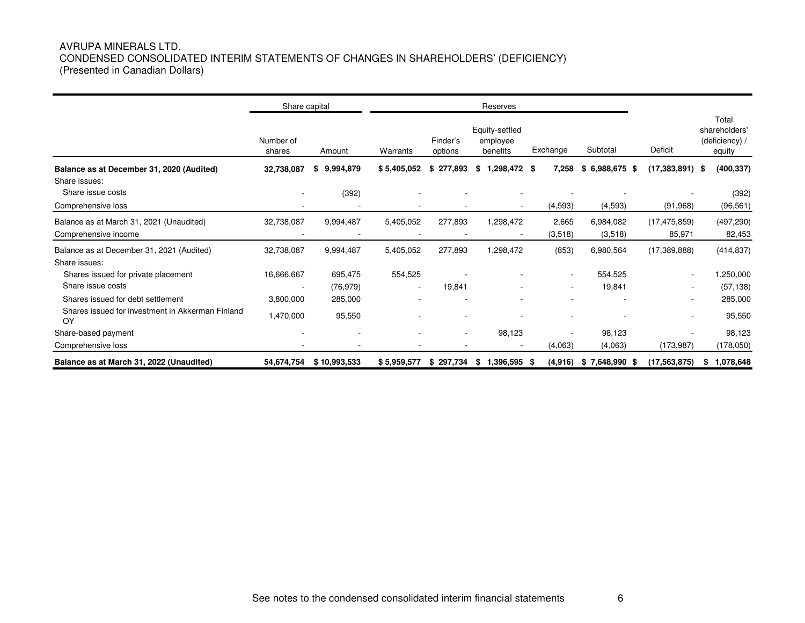#### AVRUPA MINERALS LTD. CONDENSED CONSOLIDATED INTERIM STATEMENTS OF CHANGES IN SHAREHOLDERS' (DEFICIENCY) (Presented in Canadian Dollars)

|                                                                           | Share capital       |                          |              |                          | Reserves                               |                  |                      |                          |                                                    |  |
|---------------------------------------------------------------------------|---------------------|--------------------------|--------------|--------------------------|----------------------------------------|------------------|----------------------|--------------------------|----------------------------------------------------|--|
|                                                                           | Number of<br>shares | Amount                   | Warrants     | Finder's<br>options      | Equity-settled<br>employee<br>benefits | Exchange         | Subtotal             | Deficit                  | Total<br>shareholders'<br>(deficiency) /<br>equity |  |
| Balance as at December 31, 2020 (Audited)                                 | 32,738,087          | 9,994,879<br>\$          | \$5,405,052  | 277,893<br>\$            | 1,298,472<br>\$                        | 7,258<br>- \$    | 6,988,675 \$<br>\$.  | (17, 383, 891)           | (400, 337)<br>\$                                   |  |
| Share issues:<br>Share issue costs<br>Comprehensive loss                  |                     | (392)                    |              |                          |                                        | (4, 593)         | (4,593)              | (91, 968)                | (392)<br>(96, 561)                                 |  |
| Balance as at March 31, 2021 (Unaudited)<br>Comprehensive income          | 32,738,087          | 9,994,487                | 5,405,052    | 277,893                  | 1,298,472                              | 2,665<br>(3,518) | 6,984,082<br>(3,518) | (17, 475, 859)<br>85,971 | (497, 290)<br>82,453                               |  |
| Balance as at December 31, 2021 (Audited)                                 | 32,738,087          | 9,994,487                | 5,405,052    | 277,893                  | 1,298,472                              | (853)            | 6,980,564            | (17,389,888)             | (414, 837)                                         |  |
| Share issues:<br>Shares issued for private placement<br>Share issue costs | 16,666,667          | 695.475<br>(76, 979)     | 554,525<br>۰ | 19,841                   |                                        | ٠                | 554,525<br>19,841    | $\sim$                   | 1,250,000<br>(57, 138)                             |  |
| Shares issued for debt settlement                                         | 3,800,000           | 285,000                  |              |                          |                                        |                  |                      |                          | 285,000                                            |  |
| Shares issued for investment in Akkerman Finland<br>OY                    | 1,470,000           | 95,550                   |              |                          |                                        |                  |                      |                          | 95,550                                             |  |
| Share-based payment                                                       |                     | $\overline{\phantom{a}}$ | ۰            | $\overline{\phantom{a}}$ | 98,123                                 |                  | 98,123               |                          | 98,123                                             |  |
| Comprehensive loss                                                        |                     |                          |              |                          |                                        | (4,063)          | (4,063)              | (173, 987)               | (178,050)                                          |  |
| Balance as at March 31, 2022 (Unaudited)                                  | 54,674,754          | \$10,993,533             | \$5,959,577  | 297,734<br>\$            | 1,396,595<br>\$                        | (4, 916)<br>- \$ | $$7,648,990$ \$      | (17, 563, 875)           | 1,078,648<br>S                                     |  |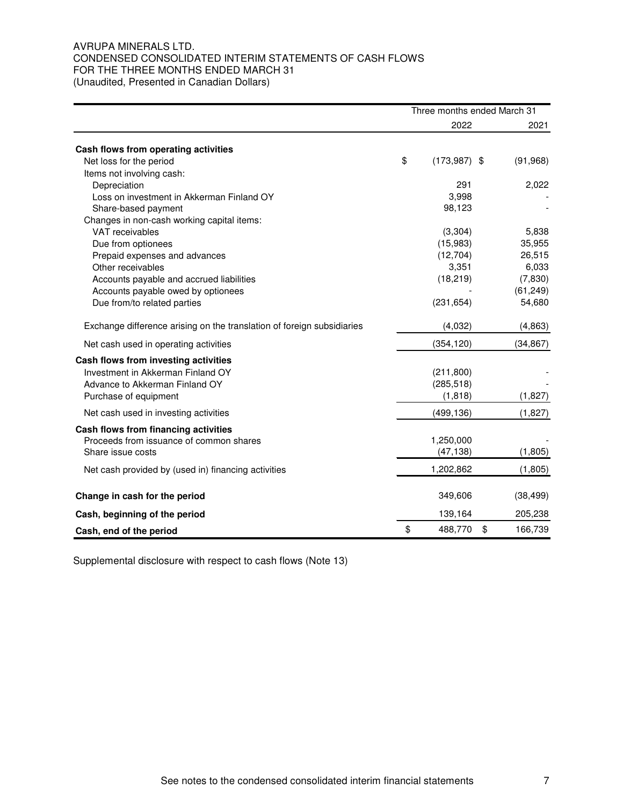#### AVRUPA MINERALS LTD. CONDENSED CONSOLIDATED INTERIM STATEMENTS OF CASH FLOWS FOR THE THREE MONTHS ENDED MARCH 31 (Unaudited, Presented in Canadian Dollars)

|                                                                        | Three months ended March 31 |                |    |           |  |  |
|------------------------------------------------------------------------|-----------------------------|----------------|----|-----------|--|--|
|                                                                        |                             | 2022           |    | 2021      |  |  |
| Cash flows from operating activities                                   |                             |                |    |           |  |  |
| Net loss for the period                                                | \$                          | $(173,987)$ \$ |    | (91, 968) |  |  |
| Items not involving cash:                                              |                             |                |    |           |  |  |
| Depreciation                                                           |                             | 291            |    | 2,022     |  |  |
| Loss on investment in Akkerman Finland OY                              |                             | 3,998          |    |           |  |  |
| Share-based payment                                                    |                             | 98,123         |    |           |  |  |
| Changes in non-cash working capital items:                             |                             |                |    |           |  |  |
| VAT receivables                                                        |                             | (3, 304)       |    | 5,838     |  |  |
| Due from optionees                                                     |                             | (15,983)       |    | 35,955    |  |  |
| Prepaid expenses and advances                                          |                             | (12, 704)      |    | 26,515    |  |  |
| Other receivables                                                      |                             | 3,351          |    | 6,033     |  |  |
| Accounts payable and accrued liabilities                               |                             | (18, 219)      |    | (7,830)   |  |  |
| Accounts payable owed by optionees                                     |                             |                |    | (61, 249) |  |  |
| Due from/to related parties                                            |                             | (231, 654)     |    | 54,680    |  |  |
| Exchange difference arising on the translation of foreign subsidiaries |                             | (4,032)        |    | (4, 863)  |  |  |
| Net cash used in operating activities                                  |                             | (354, 120)     |    | (34, 867) |  |  |
| Cash flows from investing activities                                   |                             |                |    |           |  |  |
| Investment in Akkerman Finland OY                                      |                             | (211, 800)     |    |           |  |  |
| Advance to Akkerman Finland OY                                         |                             | (285, 518)     |    |           |  |  |
| Purchase of equipment                                                  |                             | (1, 818)       |    | (1,827)   |  |  |
| Net cash used in investing activities                                  |                             | (499, 136)     |    | (1,827)   |  |  |
| Cash flows from financing activities                                   |                             |                |    |           |  |  |
| Proceeds from issuance of common shares                                |                             | 1,250,000      |    |           |  |  |
| Share issue costs                                                      |                             | (47, 138)      |    | (1,805)   |  |  |
| Net cash provided by (used in) financing activities                    |                             | 1,202,862      |    | (1,805)   |  |  |
| Change in cash for the period                                          |                             | 349,606        |    | (38, 499) |  |  |
| Cash, beginning of the period                                          |                             | 139,164        |    | 205,238   |  |  |
| Cash, end of the period                                                | \$                          | 488,770        | \$ | 166,739   |  |  |

Supplemental disclosure with respect to cash flows (Note 13)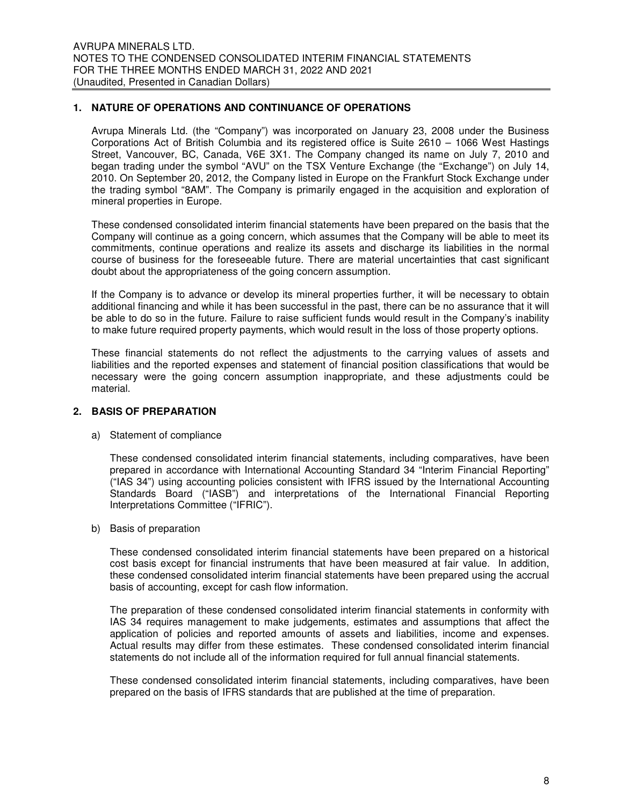#### **1. NATURE OF OPERATIONS AND CONTINUANCE OF OPERATIONS**

Avrupa Minerals Ltd. (the "Company") was incorporated on January 23, 2008 under the Business Corporations Act of British Columbia and its registered office is Suite 2610 – 1066 West Hastings Street, Vancouver, BC, Canada, V6E 3X1. The Company changed its name on July 7, 2010 and began trading under the symbol "AVU" on the TSX Venture Exchange (the "Exchange") on July 14, 2010. On September 20, 2012, the Company listed in Europe on the Frankfurt Stock Exchange under the trading symbol "8AM". The Company is primarily engaged in the acquisition and exploration of mineral properties in Europe.

These condensed consolidated interim financial statements have been prepared on the basis that the Company will continue as a going concern, which assumes that the Company will be able to meet its commitments, continue operations and realize its assets and discharge its liabilities in the normal course of business for the foreseeable future. There are material uncertainties that cast significant doubt about the appropriateness of the going concern assumption.

If the Company is to advance or develop its mineral properties further, it will be necessary to obtain additional financing and while it has been successful in the past, there can be no assurance that it will be able to do so in the future. Failure to raise sufficient funds would result in the Company's inability to make future required property payments, which would result in the loss of those property options.

These financial statements do not reflect the adjustments to the carrying values of assets and liabilities and the reported expenses and statement of financial position classifications that would be necessary were the going concern assumption inappropriate, and these adjustments could be material.

#### **2. BASIS OF PREPARATION**

a) Statement of compliance

These condensed consolidated interim financial statements, including comparatives, have been prepared in accordance with International Accounting Standard 34 "Interim Financial Reporting" ("IAS 34") using accounting policies consistent with IFRS issued by the International Accounting Standards Board ("IASB") and interpretations of the International Financial Reporting Interpretations Committee ("IFRIC").

b) Basis of preparation

These condensed consolidated interim financial statements have been prepared on a historical cost basis except for financial instruments that have been measured at fair value. In addition, these condensed consolidated interim financial statements have been prepared using the accrual basis of accounting, except for cash flow information.

The preparation of these condensed consolidated interim financial statements in conformity with IAS 34 requires management to make judgements, estimates and assumptions that affect the application of policies and reported amounts of assets and liabilities, income and expenses. Actual results may differ from these estimates. These condensed consolidated interim financial statements do not include all of the information required for full annual financial statements.

These condensed consolidated interim financial statements, including comparatives, have been prepared on the basis of IFRS standards that are published at the time of preparation.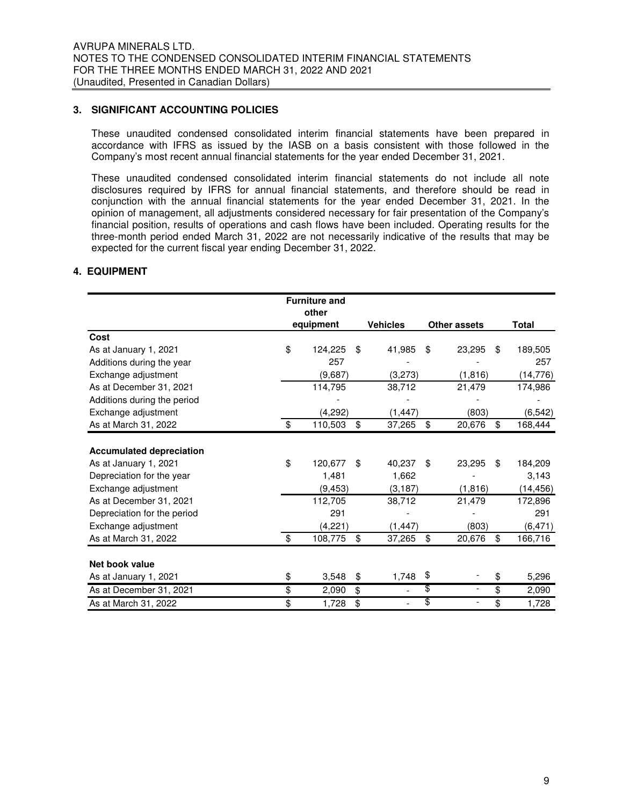#### **3. SIGNIFICANT ACCOUNTING POLICIES**

These unaudited condensed consolidated interim financial statements have been prepared in accordance with IFRS as issued by the IASB on a basis consistent with those followed in the Company's most recent annual financial statements for the year ended December 31, 2021.

These unaudited condensed consolidated interim financial statements do not include all note disclosures required by IFRS for annual financial statements, and therefore should be read in conjunction with the annual financial statements for the year ended December 31, 2021. In the opinion of management, all adjustments considered necessary for fair presentation of the Company's financial position, results of operations and cash flows have been included. Operating results for the three-month period ended March 31, 2022 are not necessarily indicative of the results that may be expected for the current fiscal year ending December 31, 2022.

#### **4. EQUIPMENT**

|                                 | <b>Furniture and</b> |                 |                                |               |
|---------------------------------|----------------------|-----------------|--------------------------------|---------------|
|                                 | other                |                 |                                |               |
|                                 | equipment            | <b>Vehicles</b> | <b>Other assets</b>            | <b>Total</b>  |
| Cost                            |                      |                 |                                |               |
| As at January 1, 2021           | \$<br>124,225        | \$<br>41,985    | \$<br>23,295                   | \$<br>189,505 |
| Additions during the year       | 257                  |                 |                                | 257           |
| Exchange adjustment             | (9,687)              | (3,273)         | (1,816)                        | (14, 776)     |
| As at December 31, 2021         | 114,795              | 38,712          | 21,479                         | 174,986       |
| Additions during the period     |                      |                 |                                |               |
| Exchange adjustment             | (4,292)              | (1, 447)        | (803)                          | (6, 542)      |
| As at March 31, 2022            | \$<br>110,503        | \$<br>37,265    | \$<br>20,676                   | \$<br>168,444 |
|                                 |                      |                 |                                |               |
| <b>Accumulated depreciation</b> |                      |                 |                                |               |
| As at January 1, 2021           | \$<br>120,677        | \$<br>40,237    | \$<br>23,295                   | \$<br>184,209 |
| Depreciation for the year       | 1,481                | 1,662           |                                | 3,143         |
| Exchange adjustment             | (9, 453)             | (3, 187)        | (1, 816)                       | (14, 456)     |
| As at December 31, 2021         | 112,705              | 38,712          | 21,479                         | 172,896       |
| Depreciation for the period     | 291                  |                 |                                | 291           |
| Exchange adjustment             | (4,221)              | (1, 447)        | (803)                          | (6, 471)      |
| As at March 31, 2022            | \$<br>108,775        | \$<br>37,265    | \$<br>20,676                   | \$<br>166,716 |
|                                 |                      |                 |                                |               |
| Net book value                  |                      |                 |                                |               |
| As at January 1, 2021           | \$<br>3,548          | \$<br>1,748     | \$                             | \$<br>5,296   |
| As at December 31, 2021         | \$<br>2,090          | \$              | \$<br>$\overline{\phantom{a}}$ | \$<br>2,090   |
| As at March 31, 2022            | \$<br>1,728          | \$              | \$<br>$\overline{\phantom{a}}$ | \$<br>1,728   |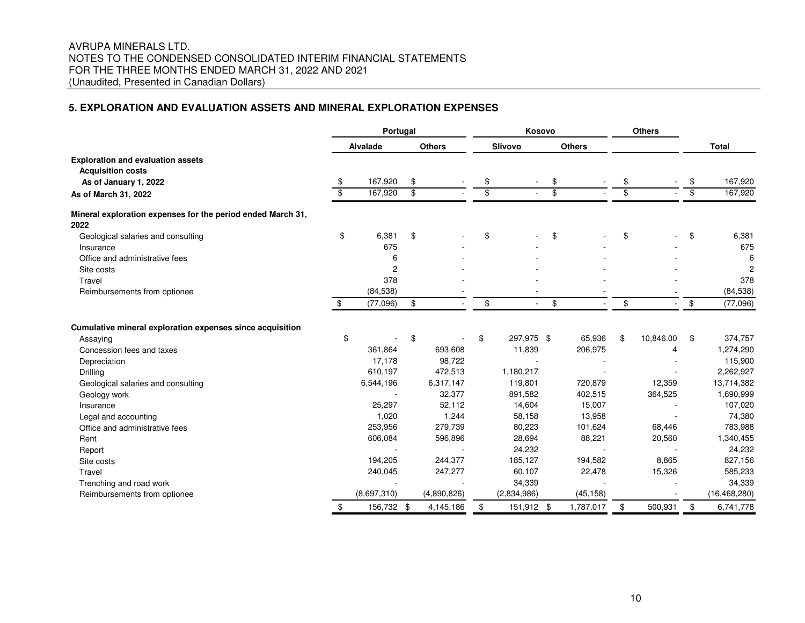#### AVRUPA MINERALS LTD. NOTES TO THE CONDENSED CONSOLIDATED INTERIM FINANCIAL STATEMENTS FOR THE THREE MONTHS ENDED MARCH 31, 2022 AND 2021 (Unaudited, Presented in Canadian Dollars)

#### **5. EXPLORATION AND EVALUATION ASSETS AND MINERAL EXPLORATION EXPENSES**

|                                                                     | Portugal                |                 |                         |               | Kosovo                  |                |                          |               | <b>Others</b>            |           |                         |                |
|---------------------------------------------------------------------|-------------------------|-----------------|-------------------------|---------------|-------------------------|----------------|--------------------------|---------------|--------------------------|-----------|-------------------------|----------------|
|                                                                     |                         | <b>Alvalade</b> |                         | <b>Others</b> |                         | <b>Slivovo</b> |                          | <b>Others</b> |                          |           |                         | <b>Total</b>   |
| <b>Exploration and evaluation assets</b>                            |                         |                 |                         |               |                         |                |                          |               |                          |           |                         |                |
| <b>Acquisition costs</b>                                            |                         |                 |                         |               |                         |                |                          |               |                          |           |                         |                |
| As of January 1, 2022                                               | \$                      | 167,920         | \$                      |               | \$                      |                | \$                       |               | \$                       |           | \$                      | 167,920        |
| As of March 31, 2022                                                | $\overline{\mathbf{S}}$ | 167,920         | $\overline{\mathbf{3}}$ |               | $\overline{\mathbf{S}}$ |                | $\overline{\mathcal{S}}$ |               | $\overline{\mathcal{E}}$ |           | $\overline{\mathbf{s}}$ | 167,920        |
| Mineral exploration expenses for the period ended March 31,<br>2022 |                         |                 |                         |               |                         |                |                          |               |                          |           |                         |                |
| Geological salaries and consulting                                  | \$                      | 6,381           | \$                      |               | \$                      |                | \$                       |               | \$                       |           | \$                      | 6,381          |
| Insurance                                                           |                         | 675             |                         |               |                         |                |                          |               |                          |           |                         | 675            |
| Office and administrative fees                                      |                         | 6               |                         |               |                         |                |                          |               |                          |           |                         | 6              |
| Site costs                                                          |                         | $\overline{c}$  |                         |               |                         |                |                          |               |                          |           |                         | 2              |
| Travel                                                              |                         | 378             |                         |               |                         |                |                          |               |                          |           |                         | 378            |
| Reimbursements from optionee                                        |                         | (84, 538)       |                         |               |                         |                |                          |               |                          |           |                         | (84, 538)      |
|                                                                     | \$                      | (77,096)        | \$                      |               | \$                      | $\sim$         | \$                       |               | \$                       |           | \$                      | (77,096)       |
| Cumulative mineral exploration expenses since acquisition           |                         |                 |                         |               |                         |                |                          |               |                          |           |                         |                |
| Assaying                                                            | \$                      |                 | \$                      |               | \$                      | 297,975 \$     |                          | 65,936        | \$                       | 10,846.00 | \$                      | 374,757        |
| Concession fees and taxes                                           |                         | 361,864         |                         | 693,608       |                         | 11,839         |                          | 206,975       |                          | 4         |                         | 1,274,290      |
| Depreciation                                                        |                         | 17,178          |                         | 98,722        |                         |                |                          |               |                          |           |                         | 115,900        |
| Drilling                                                            |                         | 610,197         |                         | 472,513       |                         | 1,180,217      |                          |               |                          |           |                         | 2,262,927      |
| Geological salaries and consulting                                  |                         | 6,544,196       |                         | 6,317,147     |                         | 119,801        |                          | 720,879       |                          | 12,359    |                         | 13,714,382     |
| Geology work                                                        |                         |                 |                         | 32,377        |                         | 891,582        |                          | 402,515       |                          | 364,525   |                         | 1,690,999      |
| Insurance                                                           |                         | 25,297          |                         | 52,112        |                         | 14,604         |                          | 15,007        |                          |           |                         | 107,020        |
| Legal and accounting                                                |                         | 1,020           |                         | 1,244         |                         | 58,158         |                          | 13,958        |                          |           |                         | 74,380         |
| Office and administrative fees                                      |                         | 253,956         |                         | 279,739       |                         | 80,223         |                          | 101,624       |                          | 68,446    |                         | 783,988        |
| Rent                                                                |                         | 606,084         |                         | 596,896       |                         | 28,694         |                          | 88,221        |                          | 20,560    |                         | 1,340,455      |
| Report                                                              |                         |                 |                         |               |                         | 24,232         |                          |               |                          |           |                         | 24,232         |
| Site costs                                                          |                         | 194,205         |                         | 244,377       |                         | 185,127        |                          | 194,582       |                          | 8,865     |                         | 827,156        |
| Travel                                                              |                         | 240,045         |                         | 247,277       |                         | 60,107         |                          | 22,478        |                          | 15,326    |                         | 585,233        |
| Trenching and road work                                             |                         |                 |                         |               |                         | 34,339         |                          |               |                          |           |                         | 34,339         |
| Reimbursements from optionee                                        |                         | (8,697,310)     |                         | (4,890,826)   |                         | (2,834,986)    |                          | (45, 158)     |                          |           |                         | (16, 468, 280) |
|                                                                     | \$                      | 156,732 \$      |                         | 4,145,186     | \$                      | 151,912 \$     |                          | 1,787,017     | \$                       | 500,931   | \$                      | 6,741,778      |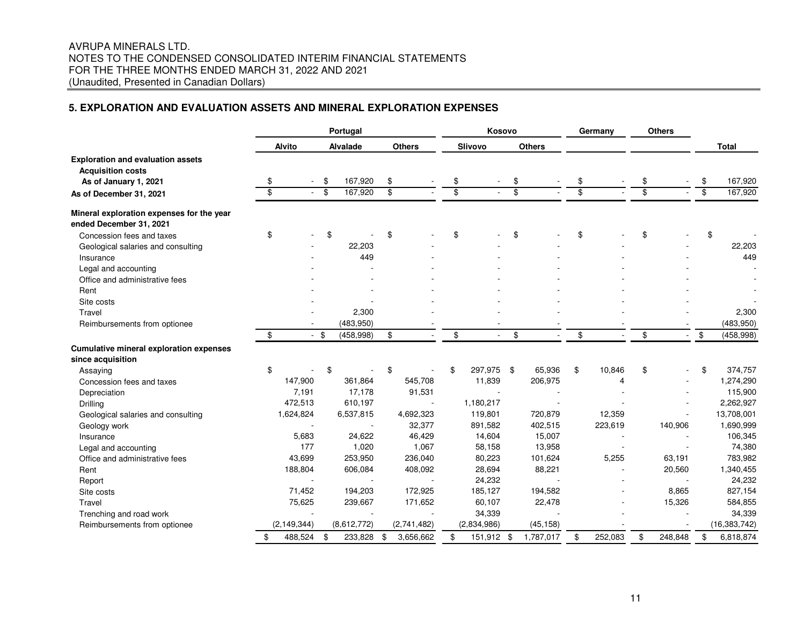#### AVRUPA MINERALS LTD. NOTES TO THE CONDENSED CONSOLIDATED INTERIM FINANCIAL STATEMENTS FOR THE THREE MONTHS ENDED MARCH 31, 2022 AND 2021 (Unaudited, Presented in Canadian Dollars)

#### **5. EXPLORATION AND EVALUATION ASSETS AND MINERAL EXPLORATION EXPENSES**

|                                                                                               |    | Portugal      |        |                 |    |               | Kosovo          |                |                 |               |                 | Germany |                 | <b>Others</b> |                  |
|-----------------------------------------------------------------------------------------------|----|---------------|--------|-----------------|----|---------------|-----------------|----------------|-----------------|---------------|-----------------|---------|-----------------|---------------|------------------|
|                                                                                               |    | Alvito        |        | <b>Alvalade</b> |    | <b>Others</b> |                 | <b>Slivovo</b> |                 | <b>Others</b> |                 |         |                 |               | <b>Total</b>     |
| <b>Exploration and evaluation assets</b><br><b>Acquisition costs</b><br>As of January 1, 2021 | S  |               | \$     | 167,920         | \$ |               | \$              |                | \$              |               | \$              |         | \$              |               | \$<br>167,920    |
| As of December 31, 2021                                                                       | \$ |               | \$     | 167,920         | \$ |               | $\overline{\$}$ |                | $\overline{\$}$ |               | $\overline{\$}$ |         | $\overline{\$}$ |               | \$<br>167,920    |
| Mineral exploration expenses for the year<br>ended December 31, 2021                          |    |               |        |                 |    |               |                 |                |                 |               |                 |         |                 |               |                  |
| Concession fees and taxes                                                                     | \$ |               | \$     |                 | \$ |               | \$              |                | \$              |               | \$              |         | \$              |               | \$               |
| Geological salaries and consulting                                                            |    |               |        | 22,203          |    |               |                 |                |                 |               |                 |         |                 |               | 22,203           |
| Insurance                                                                                     |    |               |        | 449             |    |               |                 |                |                 |               |                 |         |                 |               | 449              |
| Legal and accounting                                                                          |    |               |        |                 |    |               |                 |                |                 |               |                 |         |                 |               |                  |
| Office and administrative fees                                                                |    |               |        |                 |    |               |                 |                |                 |               |                 |         |                 |               |                  |
| Rent                                                                                          |    |               |        |                 |    |               |                 |                |                 |               |                 |         |                 |               |                  |
| Site costs                                                                                    |    |               |        |                 |    |               |                 |                |                 |               |                 |         |                 |               |                  |
| Travel                                                                                        |    |               |        | 2,300           |    |               |                 |                |                 |               |                 |         |                 |               | 2,300            |
| Reimbursements from optionee                                                                  |    |               |        | (483,950)       |    |               |                 |                |                 |               |                 |         |                 |               | (483,950)        |
|                                                                                               | \$ |               | $-$ \$ | (458, 998)      | \$ |               | \$              | $\blacksquare$ | \$              |               | \$              |         | \$              |               | \$<br>(458, 998) |
| <b>Cumulative mineral exploration expenses</b>                                                |    |               |        |                 |    |               |                 |                |                 |               |                 |         |                 |               |                  |
| since acquisition                                                                             |    |               |        |                 |    |               |                 |                |                 |               |                 |         |                 |               |                  |
| Assaying                                                                                      | \$ |               | \$     |                 | \$ |               | \$              | 297,975 \$     |                 | 65,936        | \$              | 10,846  | \$              |               | \$<br>374,757    |
| Concession fees and taxes                                                                     |    | 147,900       |        | 361,864         |    | 545,708       |                 | 11,839         |                 | 206,975       |                 | 4       |                 |               | 1,274,290        |
| Depreciation                                                                                  |    | 7,191         |        | 17,178          |    | 91,531        |                 |                |                 |               |                 |         |                 |               | 115,900          |
| Drilling                                                                                      |    | 472,513       |        | 610,197         |    |               |                 | 1,180,217      |                 |               |                 |         |                 |               | 2,262,927        |
| Geological salaries and consulting                                                            |    | 1,624,824     |        | 6,537,815       |    | 4,692,323     |                 | 119,801        |                 | 720,879       |                 | 12,359  |                 |               | 13,708,001       |
| Geology work                                                                                  |    |               |        |                 |    | 32,377        |                 | 891,582        |                 | 402,515       |                 | 223,619 |                 | 140,906       | 1,690,999        |
| Insurance                                                                                     |    | 5,683         |        | 24,622          |    | 46,429        |                 | 14,604         |                 | 15,007        |                 |         |                 |               | 106,345          |
| Legal and accounting                                                                          |    | 177           |        | 1,020           |    | 1,067         |                 | 58,158         |                 | 13,958        |                 |         |                 |               | 74,380           |
| Office and administrative fees                                                                |    | 43,699        |        | 253,950         |    | 236,040       |                 | 80,223         |                 | 101,624       |                 | 5,255   |                 | 63,191        | 783,982          |
| Rent                                                                                          |    | 188,804       |        | 606,084         |    | 408,092       |                 | 28,694         |                 | 88,221        |                 |         |                 | 20,560        | 1,340,455        |
| Report                                                                                        |    |               |        |                 |    |               |                 | 24,232         |                 |               |                 |         |                 |               | 24,232           |
| Site costs                                                                                    |    | 71,452        |        | 194,203         |    | 172,925       |                 | 185,127        |                 | 194,582       |                 |         |                 | 8,865         | 827,154          |
| Travel                                                                                        |    | 75,625        |        | 239,667         |    | 171,652       |                 | 60,107         |                 | 22,478        |                 |         |                 | 15,326        | 584,855          |
| Trenching and road work                                                                       |    |               |        |                 |    |               |                 | 34,339         |                 |               |                 |         |                 |               | 34,339           |
| Reimbursements from optionee                                                                  |    | (2, 149, 344) |        | (8,612,772)     |    | (2,741,482)   |                 | (2,834,986)    |                 | (45, 158)     |                 |         |                 |               | (16, 383, 742)   |
|                                                                                               | \$ | 488,524       | \$     | 233,828         | \$ | 3,656,662     | \$              | 151,912 \$     |                 | 1,787,017     | \$              | 252,083 | \$              | 248,848       | \$<br>6,818,874  |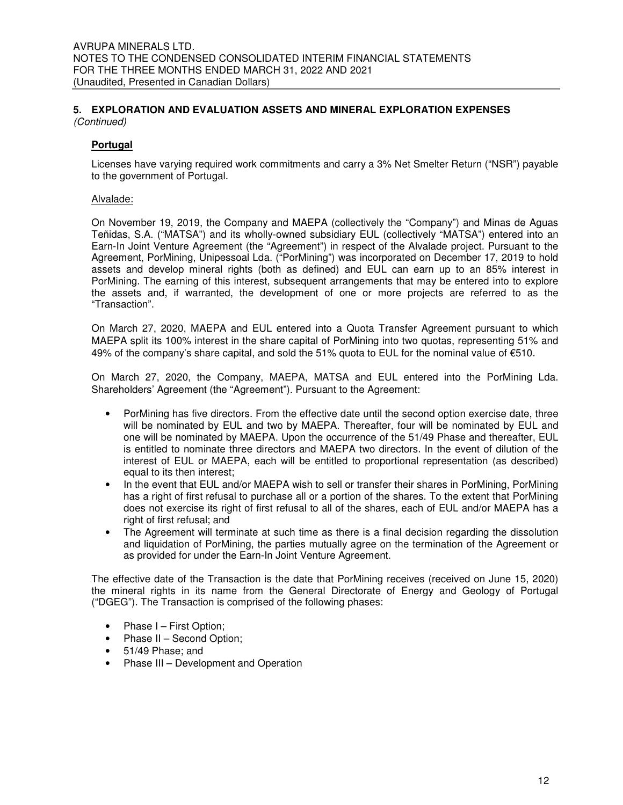#### **Portugal**

Licenses have varying required work commitments and carry a 3% Net Smelter Return ("NSR") payable to the government of Portugal.

#### Alvalade:

On November 19, 2019, the Company and MAEPA (collectively the "Company") and Minas de Aguas Teñidas, S.A. ("MATSA") and its wholly-owned subsidiary EUL (collectively "MATSA") entered into an Earn-In Joint Venture Agreement (the "Agreement") in respect of the Alvalade project. Pursuant to the Agreement, PorMining, Unipessoal Lda. ("PorMining") was incorporated on December 17, 2019 to hold assets and develop mineral rights (both as defined) and EUL can earn up to an 85% interest in PorMining. The earning of this interest, subsequent arrangements that may be entered into to explore the assets and, if warranted, the development of one or more projects are referred to as the "Transaction".

On March 27, 2020, MAEPA and EUL entered into a Quota Transfer Agreement pursuant to which MAEPA split its 100% interest in the share capital of PorMining into two quotas, representing 51% and 49% of the company's share capital, and sold the 51% quota to EUL for the nominal value of  $€510$ .

On March 27, 2020, the Company, MAEPA, MATSA and EUL entered into the PorMining Lda. Shareholders' Agreement (the "Agreement"). Pursuant to the Agreement:

- PorMining has five directors. From the effective date until the second option exercise date, three will be nominated by EUL and two by MAEPA. Thereafter, four will be nominated by EUL and one will be nominated by MAEPA. Upon the occurrence of the 51/49 Phase and thereafter, EUL is entitled to nominate three directors and MAEPA two directors. In the event of dilution of the interest of EUL or MAEPA, each will be entitled to proportional representation (as described) equal to its then interest;
- In the event that EUL and/or MAEPA wish to sell or transfer their shares in PorMining, PorMining has a right of first refusal to purchase all or a portion of the shares. To the extent that PorMining does not exercise its right of first refusal to all of the shares, each of EUL and/or MAEPA has a right of first refusal; and
- The Agreement will terminate at such time as there is a final decision regarding the dissolution and liquidation of PorMining, the parties mutually agree on the termination of the Agreement or as provided for under the Earn-In Joint Venture Agreement.

The effective date of the Transaction is the date that PorMining receives (received on June 15, 2020) the mineral rights in its name from the General Directorate of Energy and Geology of Portugal ("DGEG"). The Transaction is comprised of the following phases:

- Phase I First Option;
- Phase II Second Option;
- 51/49 Phase; and
- Phase III Development and Operation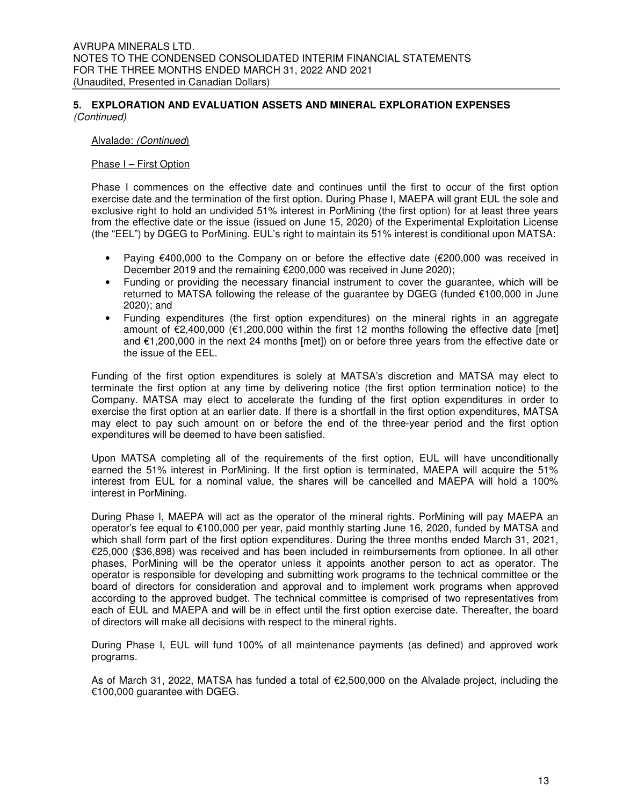#### Alvalade: (Continued)

#### Phase I – First Option

Phase I commences on the effective date and continues until the first to occur of the first option exercise date and the termination of the first option. During Phase I, MAEPA will grant EUL the sole and exclusive right to hold an undivided 51% interest in PorMining (the first option) for at least three years from the effective date or the issue (issued on June 15, 2020) of the Experimental Exploitation License (the "EEL") by DGEG to PorMining. EUL's right to maintain its 51% interest is conditional upon MATSA:

- Paying  $\epsilon$ 400,000 to the Company on or before the effective date ( $\epsilon$ 200,000 was received in December 2019 and the remaining €200,000 was received in June 2020);
- Funding or providing the necessary financial instrument to cover the guarantee, which will be returned to MATSA following the release of the guarantee by DGEG (funded €100,000 in June 2020); and
- Funding expenditures (the first option expenditures) on the mineral rights in an aggregate amount of €2,400,000 (€1,200,000 within the first 12 months following the effective date [met] and €1,200,000 in the next 24 months [met]) on or before three years from the effective date or the issue of the EEL.

Funding of the first option expenditures is solely at MATSA's discretion and MATSA may elect to terminate the first option at any time by delivering notice (the first option termination notice) to the Company. MATSA may elect to accelerate the funding of the first option expenditures in order to exercise the first option at an earlier date. If there is a shortfall in the first option expenditures, MATSA may elect to pay such amount on or before the end of the three-year period and the first option expenditures will be deemed to have been satisfied.

Upon MATSA completing all of the requirements of the first option, EUL will have unconditionally earned the 51% interest in PorMining. If the first option is terminated, MAEPA will acquire the 51% interest from EUL for a nominal value, the shares will be cancelled and MAEPA will hold a 100% interest in PorMining.

During Phase I, MAEPA will act as the operator of the mineral rights. PorMining will pay MAEPA an operator's fee equal to €100,000 per year, paid monthly starting June 16, 2020, funded by MATSA and which shall form part of the first option expenditures. During the three months ended March 31, 2021, €25,000 (\$36,898) was received and has been included in reimbursements from optionee. In all other phases, PorMining will be the operator unless it appoints another person to act as operator. The operator is responsible for developing and submitting work programs to the technical committee or the board of directors for consideration and approval and to implement work programs when approved according to the approved budget. The technical committee is comprised of two representatives from each of EUL and MAEPA and will be in effect until the first option exercise date. Thereafter, the board of directors will make all decisions with respect to the mineral rights.

During Phase I, EUL will fund 100% of all maintenance payments (as defined) and approved work programs.

As of March 31, 2022, MATSA has funded a total of €2,500,000 on the Alvalade project, including the €100,000 guarantee with DGEG.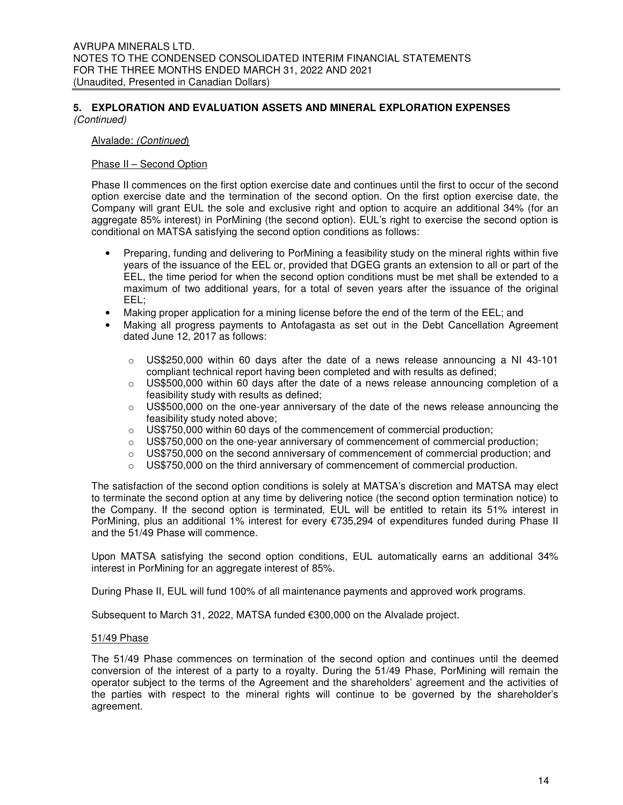#### Alvalade: (Continued)

#### Phase II – Second Option

Phase II commences on the first option exercise date and continues until the first to occur of the second option exercise date and the termination of the second option. On the first option exercise date, the Company will grant EUL the sole and exclusive right and option to acquire an additional 34% (for an aggregate 85% interest) in PorMining (the second option). EUL's right to exercise the second option is conditional on MATSA satisfying the second option conditions as follows:

- Preparing, funding and delivering to PorMining a feasibility study on the mineral rights within five years of the issuance of the EEL or, provided that DGEG grants an extension to all or part of the EEL, the time period for when the second option conditions must be met shall be extended to a maximum of two additional years, for a total of seven years after the issuance of the original EEL;
- Making proper application for a mining license before the end of the term of the EEL; and
- Making all progress payments to Antofagasta as set out in the Debt Cancellation Agreement dated June 12, 2017 as follows:
	- $\circ$  US\$250,000 within 60 days after the date of a news release announcing a NI 43-101 compliant technical report having been completed and with results as defined;
	- $\circ$  US\$500,000 within 60 days after the date of a news release announcing completion of a feasibility study with results as defined;
	- $\circ$  US\$500,000 on the one-year anniversary of the date of the news release announcing the feasibility study noted above;
	- o US\$750,000 within 60 days of the commencement of commercial production;
	- $\circ$  US\$750,000 on the one-year anniversary of commencement of commercial production;
	- $\circ$  US\$750,000 on the second anniversary of commencement of commercial production; and
	- $\circ$  US\$750,000 on the third anniversary of commencement of commercial production.

The satisfaction of the second option conditions is solely at MATSA's discretion and MATSA may elect to terminate the second option at any time by delivering notice (the second option termination notice) to the Company. If the second option is terminated, EUL will be entitled to retain its 51% interest in PorMining, plus an additional 1% interest for every €735,294 of expenditures funded during Phase II and the 51/49 Phase will commence.

Upon MATSA satisfying the second option conditions, EUL automatically earns an additional 34% interest in PorMining for an aggregate interest of 85%.

During Phase II, EUL will fund 100% of all maintenance payments and approved work programs.

Subsequent to March 31, 2022, MATSA funded €300,000 on the Alvalade project.

#### 51/49 Phase

The 51/49 Phase commences on termination of the second option and continues until the deemed conversion of the interest of a party to a royalty. During the 51/49 Phase, PorMining will remain the operator subject to the terms of the Agreement and the shareholders' agreement and the activities of the parties with respect to the mineral rights will continue to be governed by the shareholder's agreement.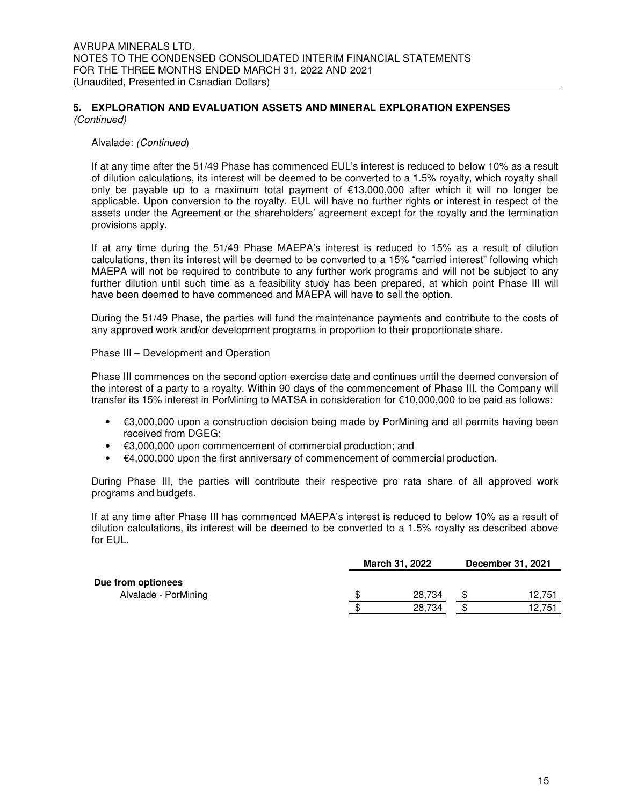#### Alvalade: (Continued)

If at any time after the 51/49 Phase has commenced EUL's interest is reduced to below 10% as a result of dilution calculations, its interest will be deemed to be converted to a 1.5% royalty, which royalty shall only be payable up to a maximum total payment of €13,000,000 after which it will no longer be applicable. Upon conversion to the royalty, EUL will have no further rights or interest in respect of the assets under the Agreement or the shareholders' agreement except for the royalty and the termination provisions apply.

If at any time during the 51/49 Phase MAEPA's interest is reduced to 15% as a result of dilution calculations, then its interest will be deemed to be converted to a 15% "carried interest" following which MAEPA will not be required to contribute to any further work programs and will not be subject to any further dilution until such time as a feasibility study has been prepared, at which point Phase III will have been deemed to have commenced and MAEPA will have to sell the option.

During the 51/49 Phase, the parties will fund the maintenance payments and contribute to the costs of any approved work and/or development programs in proportion to their proportionate share.

#### Phase III – Development and Operation

Phase III commences on the second option exercise date and continues until the deemed conversion of the interest of a party to a royalty. Within 90 days of the commencement of Phase III, the Company will transfer its 15% interest in PorMining to MATSA in consideration for €10,000,000 to be paid as follows:

- $\cdot$   $\in$  3,000,000 upon a construction decision being made by PorMining and all permits having been received from DGEG;
- $€3,000,000$  upon commencement of commercial production; and
- €4,000,000 upon the first anniversary of commencement of commercial production.

During Phase III, the parties will contribute their respective pro rata share of all approved work programs and budgets.

If at any time after Phase III has commenced MAEPA's interest is reduced to below 10% as a result of dilution calculations, its interest will be deemed to be converted to a 1.5% royalty as described above for EUL.

|                                            | <b>March 31, 2022</b> |    |        |  |
|--------------------------------------------|-----------------------|----|--------|--|
| Due from optionees<br>Alvalade - PorMining | \$<br>28.734          |    | 12,751 |  |
|                                            | \$<br>28.734          | \$ | 12.751 |  |
|                                            |                       |    |        |  |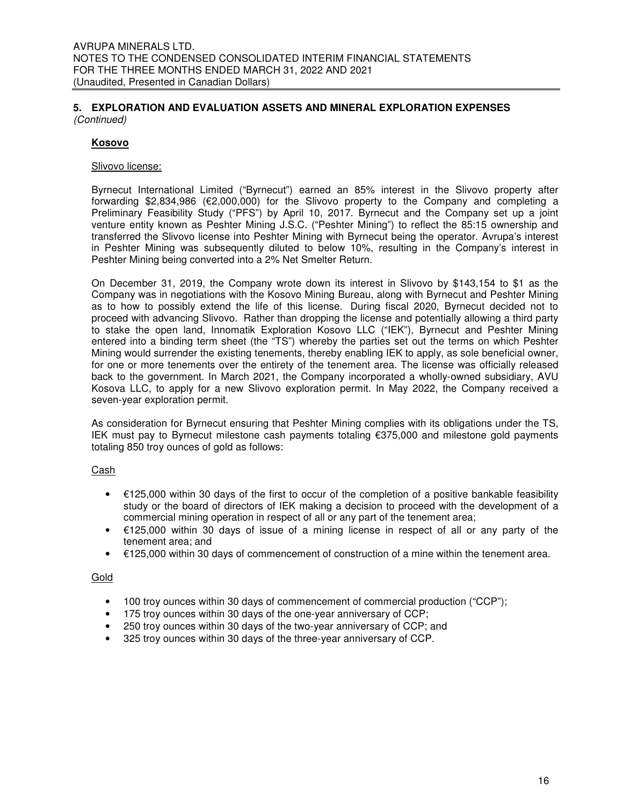#### **Kosovo**

#### Slivovo license:

Byrnecut International Limited ("Byrnecut") earned an 85% interest in the Slivovo property after forwarding \$2,834,986 (€2,000,000) for the Slivovo property to the Company and completing a Preliminary Feasibility Study ("PFS") by April 10, 2017. Byrnecut and the Company set up a joint venture entity known as Peshter Mining J.S.C. ("Peshter Mining") to reflect the 85:15 ownership and transferred the Slivovo license into Peshter Mining with Byrnecut being the operator. Avrupa's interest in Peshter Mining was subsequently diluted to below 10%, resulting in the Company's interest in Peshter Mining being converted into a 2% Net Smelter Return.

On December 31, 2019, the Company wrote down its interest in Slivovo by \$143,154 to \$1 as the Company was in negotiations with the Kosovo Mining Bureau, along with Byrnecut and Peshter Mining as to how to possibly extend the life of this license. During fiscal 2020, Byrnecut decided not to proceed with advancing Slivovo. Rather than dropping the license and potentially allowing a third party to stake the open land, Innomatik Exploration Kosovo LLC ("IEK"), Byrnecut and Peshter Mining entered into a binding term sheet (the "TS") whereby the parties set out the terms on which Peshter Mining would surrender the existing tenements, thereby enabling IEK to apply, as sole beneficial owner, for one or more tenements over the entirety of the tenement area. The license was officially released back to the government. In March 2021, the Company incorporated a wholly-owned subsidiary, AVU Kosova LLC, to apply for a new Slivovo exploration permit. In May 2022, the Company received a seven-year exploration permit.

As consideration for Byrnecut ensuring that Peshter Mining complies with its obligations under the TS, IEK must pay to Byrnecut milestone cash payments totaling €375,000 and milestone gold payments totaling 850 troy ounces of gold as follows:

#### Cash

- €125,000 within 30 days of the first to occur of the completion of a positive bankable feasibility study or the board of directors of IEK making a decision to proceed with the development of a commercial mining operation in respect of all or any part of the tenement area;
- €125,000 within 30 days of issue of a mining license in respect of all or any party of the tenement area; and
- €125,000 within 30 days of commencement of construction of a mine within the tenement area.

#### Gold

- 100 troy ounces within 30 days of commencement of commercial production ("CCP");
- 175 troy ounces within 30 days of the one-year anniversary of CCP;
- 250 troy ounces within 30 days of the two-year anniversary of CCP; and
- 325 troy ounces within 30 days of the three-year anniversary of CCP.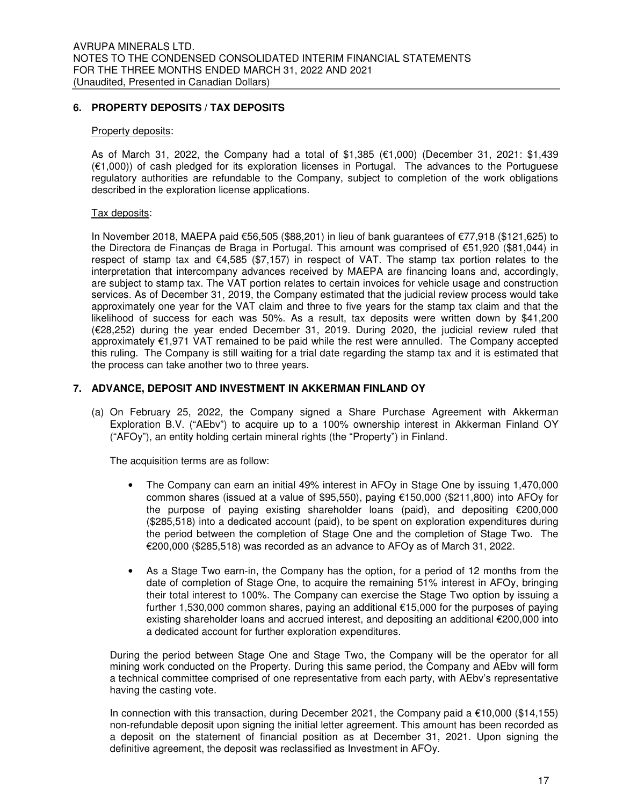#### **6. PROPERTY DEPOSITS / TAX DEPOSITS**

#### Property deposits:

As of March 31, 2022, the Company had a total of \$1,385 (€1,000) (December 31, 2021: \$1,439 (€1,000)) of cash pledged for its exploration licenses in Portugal. The advances to the Portuguese regulatory authorities are refundable to the Company, subject to completion of the work obligations described in the exploration license applications.

#### Tax deposits:

In November 2018, MAEPA paid €56,505 (\$88,201) in lieu of bank guarantees of €77,918 (\$121,625) to the Directora de Finanças de Braga in Portugal. This amount was comprised of €51,920 (\$81,044) in respect of stamp tax and  $\epsilon$ 4,585 (\$7,157) in respect of VAT. The stamp tax portion relates to the interpretation that intercompany advances received by MAEPA are financing loans and, accordingly, are subject to stamp tax. The VAT portion relates to certain invoices for vehicle usage and construction services. As of December 31, 2019, the Company estimated that the judicial review process would take approximately one year for the VAT claim and three to five years for the stamp tax claim and that the likelihood of success for each was 50%. As a result, tax deposits were written down by \$41,200 (€28,252) during the year ended December 31, 2019. During 2020, the judicial review ruled that approximately €1,971 VAT remained to be paid while the rest were annulled. The Company accepted this ruling. The Company is still waiting for a trial date regarding the stamp tax and it is estimated that the process can take another two to three years.

#### **7. ADVANCE, DEPOSIT AND INVESTMENT IN AKKERMAN FINLAND OY**

(a) On February 25, 2022, the Company signed a Share Purchase Agreement with Akkerman Exploration B.V. ("AEbv") to acquire up to a 100% ownership interest in Akkerman Finland OY ("AFOy"), an entity holding certain mineral rights (the "Property") in Finland.

The acquisition terms are as follow:

- The Company can earn an initial 49% interest in AFOy in Stage One by issuing 1,470,000 common shares (issued at a value of \$95,550), paying €150,000 (\$211,800) into AFOy for the purpose of paying existing shareholder loans (paid), and depositing €200,000 (\$285,518) into a dedicated account (paid), to be spent on exploration expenditures during the period between the completion of Stage One and the completion of Stage Two. The €200,000 (\$285,518) was recorded as an advance to AFOy as of March 31, 2022.
- As a Stage Two earn-in, the Company has the option, for a period of 12 months from the date of completion of Stage One, to acquire the remaining 51% interest in AFOy, bringing their total interest to 100%. The Company can exercise the Stage Two option by issuing a further 1,530,000 common shares, paying an additional €15,000 for the purposes of paying existing shareholder loans and accrued interest, and depositing an additional €200,000 into a dedicated account for further exploration expenditures.

During the period between Stage One and Stage Two, the Company will be the operator for all mining work conducted on the Property. During this same period, the Company and AEbv will form a technical committee comprised of one representative from each party, with AEbv's representative having the casting vote.

In connection with this transaction, during December 2021, the Company paid a  $\epsilon$ 10,000 (\$14,155) non-refundable deposit upon signing the initial letter agreement. This amount has been recorded as a deposit on the statement of financial position as at December 31, 2021. Upon signing the definitive agreement, the deposit was reclassified as Investment in AFOy.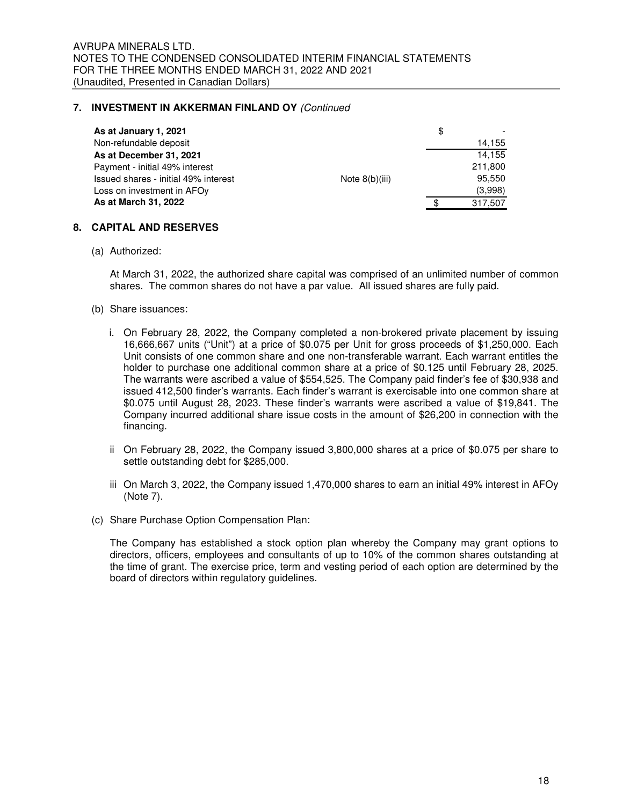#### **7. INVESTMENT IN AKKERMAN FINLAND OY** (Continued

| As at January 1, 2021                |                  | \$      |
|--------------------------------------|------------------|---------|
| Non-refundable deposit               |                  | 14,155  |
| As at December 31, 2021              |                  | 14.155  |
| Payment - initial 49% interest       |                  | 211,800 |
| Issued shares - initial 49% interest | Note $8(b)(iii)$ | 95.550  |
| Loss on investment in AFOy           |                  | (3,998) |
| As at March 31, 2022                 |                  | 317,507 |

#### **8. CAPITAL AND RESERVES**

(a) Authorized:

At March 31, 2022, the authorized share capital was comprised of an unlimited number of common shares. The common shares do not have a par value. All issued shares are fully paid.

- (b) Share issuances:
	- i. On February 28, 2022, the Company completed a non-brokered private placement by issuing 16,666,667 units ("Unit") at a price of \$0.075 per Unit for gross proceeds of \$1,250,000. Each Unit consists of one common share and one non-transferable warrant. Each warrant entitles the holder to purchase one additional common share at a price of \$0.125 until February 28, 2025. The warrants were ascribed a value of \$554,525. The Company paid finder's fee of \$30,938 and issued 412,500 finder's warrants. Each finder's warrant is exercisable into one common share at \$0.075 until August 28, 2023. These finder's warrants were ascribed a value of \$19,841. The Company incurred additional share issue costs in the amount of \$26,200 in connection with the financing.
	- ii On February 28, 2022, the Company issued 3,800,000 shares at a price of \$0.075 per share to settle outstanding debt for \$285,000.
	- iii On March 3, 2022, the Company issued 1,470,000 shares to earn an initial 49% interest in AFOy (Note 7).
- (c) Share Purchase Option Compensation Plan:

The Company has established a stock option plan whereby the Company may grant options to directors, officers, employees and consultants of up to 10% of the common shares outstanding at the time of grant. The exercise price, term and vesting period of each option are determined by the board of directors within regulatory guidelines.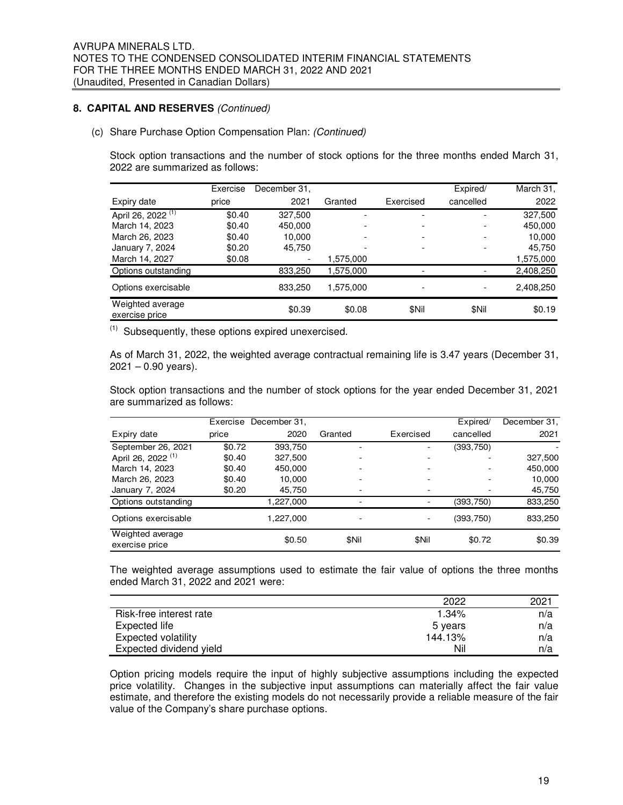#### **8. CAPITAL AND RESERVES** (Continued)

(c) Share Purchase Option Compensation Plan: (Continued)

Stock option transactions and the number of stock options for the three months ended March 31, 2022 are summarized as follows:

|                                    | Exercise | December 31,             |           |           | Expired/  | March 31, |
|------------------------------------|----------|--------------------------|-----------|-----------|-----------|-----------|
| Expiry date                        | price    | 2021                     | Granted   | Exercised | cancelled | 2022      |
| April 26, 2022 <sup>(1)</sup>      | \$0.40   | 327.500                  |           |           |           | 327,500   |
| March 14, 2023                     | \$0.40   | 450,000                  |           |           |           | 450,000   |
| March 26, 2023                     | \$0.40   | 10,000                   |           |           |           | 10,000    |
| January 7, 2024                    | \$0.20   | 45,750                   |           |           |           | 45,750    |
| March 14, 2027                     | \$0.08   | $\overline{\phantom{0}}$ | 1,575,000 |           |           | 1,575,000 |
| Options outstanding                |          | 833,250                  | 1,575,000 |           |           | 2,408,250 |
| Options exercisable                |          | 833,250                  | 1,575,000 |           |           | 2,408,250 |
| Weighted average<br>exercise price |          | \$0.39                   | \$0.08    | \$Nil     | \$Nil     | \$0.19    |

 $(1)$  Subsequently, these options expired unexercised.

As of March 31, 2022, the weighted average contractual remaining life is 3.47 years (December 31,  $2021 - 0.90$  years).

Stock option transactions and the number of stock options for the year ended December 31, 2021 are summarized as follows:

|                                    | Exercise | December 31, |         |           | Expired/   | December 31, |
|------------------------------------|----------|--------------|---------|-----------|------------|--------------|
| Expiry date                        | price    | 2020         | Granted | Exercised | cancelled  | 2021         |
| September 26, 2021                 | \$0.72   | 393,750      |         |           | (393,750)  |              |
| April 26, 2022 <sup>(1)</sup>      | \$0.40   | 327,500      |         |           |            | 327,500      |
| March 14, 2023                     | \$0.40   | 450,000      |         |           |            | 450,000      |
| March 26, 2023                     | \$0.40   | 10.000       |         |           |            | 10,000       |
| January 7, 2024                    | \$0.20   | 45,750       |         |           |            | 45,750       |
| Options outstanding                |          | 1,227,000    |         |           | (393,750)  | 833,250      |
| Options exercisable                |          | 1.227.000    | -       |           | (393, 750) | 833,250      |
| Weighted average<br>exercise price |          | \$0.50       | \$Nil   | \$Nil     | \$0.72     | \$0.39       |

The weighted average assumptions used to estimate the fair value of options the three months ended March 31, 2022 and 2021 were:

|                         | 2022    | 2021 |
|-------------------------|---------|------|
| Risk-free interest rate | 1.34%   | n/a  |
| Expected life           | 5 years | n/a  |
| Expected volatility     | 144.13% | n/a  |
| Expected dividend yield | Nil     | n/a  |

Option pricing models require the input of highly subjective assumptions including the expected price volatility. Changes in the subjective input assumptions can materially affect the fair value estimate, and therefore the existing models do not necessarily provide a reliable measure of the fair value of the Company's share purchase options.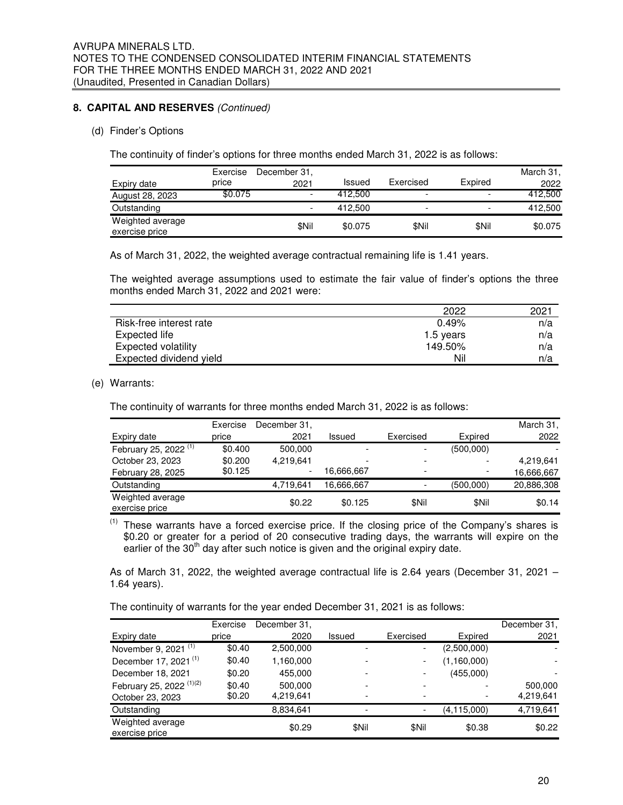#### **8. CAPITAL AND RESERVES** (Continued)

#### (d) Finder's Options

The continuity of finder's options for three months ended March 31, 2022 is as follows:

|                                    | Exercise | December 31.             |               |                          |                          | March 31, |
|------------------------------------|----------|--------------------------|---------------|--------------------------|--------------------------|-----------|
| Expiry date                        | price    | 2021                     | <b>Issued</b> | Exercised                | Expired                  | 2022      |
| August 28, 2023                    | \$0.075  | $\overline{\phantom{0}}$ | 412.500       | $\overline{\phantom{0}}$ | $\overline{\phantom{a}}$ | 412,500   |
| Outstanding                        |          | $\overline{\phantom{0}}$ | 412,500       | $\overline{\phantom{0}}$ | $\overline{\phantom{a}}$ | 412,500   |
| Weighted average<br>exercise price |          | \$Nil                    | \$0.075       | \$Nil                    | \$Nil                    | \$0.075   |

As of March 31, 2022, the weighted average contractual remaining life is 1.41 years.

The weighted average assumptions used to estimate the fair value of finder's options the three months ended March 31, 2022 and 2021 were:

|                            | 2022      | 2021 |
|----------------------------|-----------|------|
| Risk-free interest rate    | 0.49%     | n/a  |
| Expected life              | 1.5 years | n/a  |
| <b>Expected volatility</b> | 149.50%   | n/a  |
| Expected dividend yield    | Nil       | n/a  |

#### (e) Warrants:

The continuity of warrants for three months ended March 31, 2022 is as follows:

|                                    | Exercise | December 31,             |               |                          |                          | March 31,  |
|------------------------------------|----------|--------------------------|---------------|--------------------------|--------------------------|------------|
| Expiry date                        | price    | 2021                     | <b>Issued</b> | Exercised                | Expired                  | 2022       |
| February 25, 2022 <sup>(1)</sup>   | \$0.400  | 500.000                  |               | -                        | (500,000)                |            |
| October 23, 2023                   | \$0.200  | 4.219.641                |               | $\overline{\phantom{0}}$ |                          | 4,219,641  |
| February 28, 2025                  | \$0.125  | $\overline{\phantom{0}}$ | 16,666,667    | $\overline{\phantom{0}}$ | $\overline{\phantom{0}}$ | 16,666,667 |
| Outstanding                        |          | 4,719,641                | 16,666,667    | ٠                        | (500,000)                | 20,886,308 |
| Weighted average<br>exercise price |          | \$0.22                   | \$0.125       | \$Nil                    | \$Nil                    | \$0.14     |

 $(1)$  These warrants have a forced exercise price. If the closing price of the Company's shares is \$0.20 or greater for a period of 20 consecutive trading days, the warrants will expire on the earlier of the 30<sup>th</sup> day after such notice is given and the original expiry date.

As of March 31, 2022, the weighted average contractual life is 2.64 years (December 31, 2021 – 1.64 years).

The continuity of warrants for the year ended December 31, 2021 is as follows:

|                                     | Exercise | December 31, |        |                          |             | December 31, |
|-------------------------------------|----------|--------------|--------|--------------------------|-------------|--------------|
| Expiry date                         | price    | 2020         | Issued | Exercised                | Expired     | 2021         |
| November 9, 2021 <sup>(1)</sup>     | \$0.40   | 2,500,000    |        | $\overline{\phantom{0}}$ | (2,500,000) |              |
| December 17, 2021 <sup>(1)</sup>    | \$0.40   | 1,160,000    |        | ٠                        | (1,160,000) |              |
| December 18, 2021                   | \$0.20   | 455.000      |        | $\overline{\phantom{0}}$ | (455,000)   |              |
| February 25, 2022 <sup>(1)(2)</sup> | \$0.40   | 500,000      |        | $\overline{\phantom{0}}$ |             | 500,000      |
| October 23, 2023                    | \$0.20   | 4,219,641    |        |                          |             | 4,219,641    |
| Outstanding                         |          | 8,834,641    |        | $\overline{\phantom{a}}$ | (4,115,000) | 4,719,641    |
| Weighted average<br>exercise price  |          | \$0.29       | \$Nil  | \$Nil                    | \$0.38      | \$0.22       |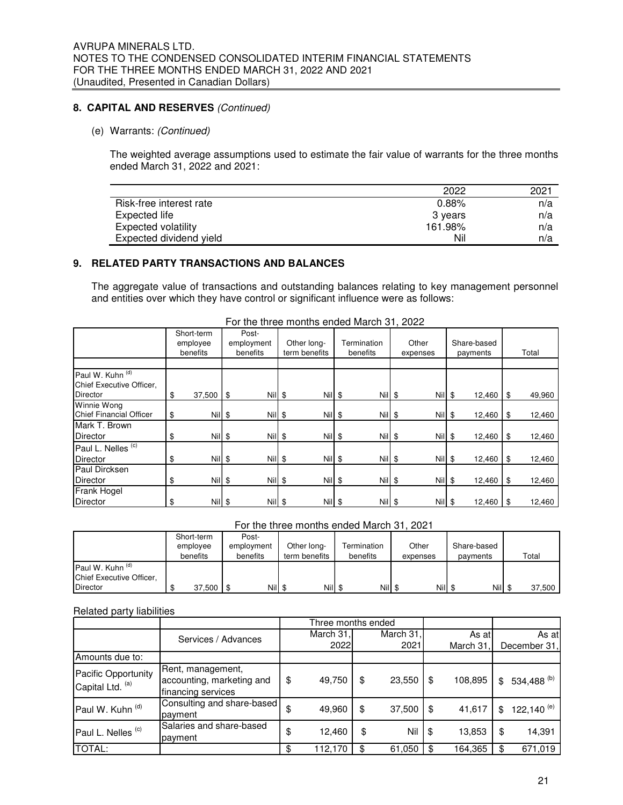#### **8. CAPITAL AND RESERVES** (Continued)

#### (e) Warrants: (Continued)

The weighted average assumptions used to estimate the fair value of warrants for the three months ended March 31, 2022 and 2021:

|                         | 2022    | 2021 |
|-------------------------|---------|------|
| Risk-free interest rate | 0.88%   | n/a  |
| Expected life           | 3 years | n/a  |
| Expected volatility     | 161.98% | n/a  |
| Expected dividend yield | Nil     | n/a  |

#### **9. RELATED PARTY TRANSACTIONS AND BALANCES**

The aggregate value of transactions and outstanding balances relating to key management personnel and entities over which they have control or significant influence were as follows:

|                                                                 | Short-term<br>employee<br>benefits | Post-<br>employment<br>benefits | Other long-<br>term benefits | Termination<br>benefits | Other<br>expenses | Share-based<br>payments |      | Total  |
|-----------------------------------------------------------------|------------------------------------|---------------------------------|------------------------------|-------------------------|-------------------|-------------------------|------|--------|
|                                                                 |                                    |                                 |                              |                         |                   |                         |      |        |
| Paul W. Kuhn (d)<br>Chief Executive Officer,<br><b>Director</b> | \$<br>$37,500$ \$                  | Nil \$                          | Nil \$                       | $Nil$ \$                | $Nil$ \$          | 12,460                  | \$   | 49,960 |
| Winnie Wong                                                     |                                    |                                 |                              |                         |                   |                         |      |        |
| <b>Chief Financial Officer</b>                                  | \$<br>$Nil$ \$                     | $Nil$ \$                        | $Nil$ \$                     | $Nil$ \$                | $Nil$ \$          | 12,460                  | \$   | 12,460 |
| Mark T. Brown                                                   |                                    |                                 |                              |                         |                   |                         |      |        |
| <b>Director</b>                                                 | \$<br>$Nil$ \$                     | Nil \$                          | Nil \$                       | $Nil$ \$                | Nil \$            | 12,460                  | \$   | 12,460 |
| Paul L. Nelles <sup>(c)</sup>                                   |                                    |                                 |                              |                         |                   |                         |      |        |
| <b>Director</b>                                                 | \$<br>$Nil$ \$                     | Nil \$                          | $Nil$ \$                     | $Nil$ \$                | $Nil$ \$          | 12,460                  | \$   | 12,460 |
| Paul Dircksen                                                   |                                    |                                 |                              |                         |                   |                         |      |        |
| Director                                                        | \$<br>Nil \$                       | Nil \$                          | Nil \$                       | $Nil$ \$                | $Nil$ \$          | 12,460                  | \$   | 12,460 |
| <b>Frank Hogel</b>                                              |                                    |                                 |                              |                         |                   |                         |      |        |
| <b>Director</b>                                                 | \$<br>$Nil$ \$                     | Nil \$                          | $Nil$ \$                     | Nil \$                  | $Nil$ \$          | 12,460                  | l \$ | 12,460 |

For the three months ended March 31, 2022

| For the three months ended March 31, 2021 |  |
|-------------------------------------------|--|
|-------------------------------------------|--|

|                                                                            | Short-term<br>employee<br>benefits |             | Post-<br>employment<br>benefits | Other long-<br>term benefits |         | Termination<br>benefits |  | Other<br>expenses |  | Share-based<br>payments |  | Total  |
|----------------------------------------------------------------------------|------------------------------------|-------------|---------------------------------|------------------------------|---------|-------------------------|--|-------------------|--|-------------------------|--|--------|
| Paul W. Kuhn <sup>(d)</sup><br>Chief Executive Officer,<br><b>Director</b> |                                    | $37,500$ \$ | Nill                            |                              | Nill \$ | Nil                     |  | Nil               |  | <b>Nil</b>              |  | 37,500 |

#### Related party liabilities

|                                         |                                                                      | Three months ended |              |               |     |                        |
|-----------------------------------------|----------------------------------------------------------------------|--------------------|--------------|---------------|-----|------------------------|
|                                         | Services / Advances                                                  | March 31,          | March 31,    | As at         |     | As at                  |
|                                         |                                                                      | 2022               | 2021         | March 31.     |     | December 31,           |
| Amounts due to:                         |                                                                      |                    |              |               |     |                        |
| Pacific Opportunity<br>Capital Ltd. (a) | Rent, management,<br>accounting, marketing and<br>financing services | \$<br>49,750       | \$<br>23,550 | \$<br>108,895 | \$  | 534,488 <sup>(b)</sup> |
| Paul W. Kuhn (d)                        | Consulting and share-based<br>payment                                | \$<br>49,960       | \$<br>37,500 | 41,617        | \$  | 122,140 $^{(e)}$       |
| Paul L. Nelles <sup>(c)</sup>           | Salaries and share-based<br>payment                                  | \$<br>12,460       | \$<br>Nil    | \$<br>13,853  | \$  | 14,391                 |
| <b>TOTAL:</b>                           |                                                                      | 112,170            | \$<br>61,050 | 164,365       | \$. | 671,019                |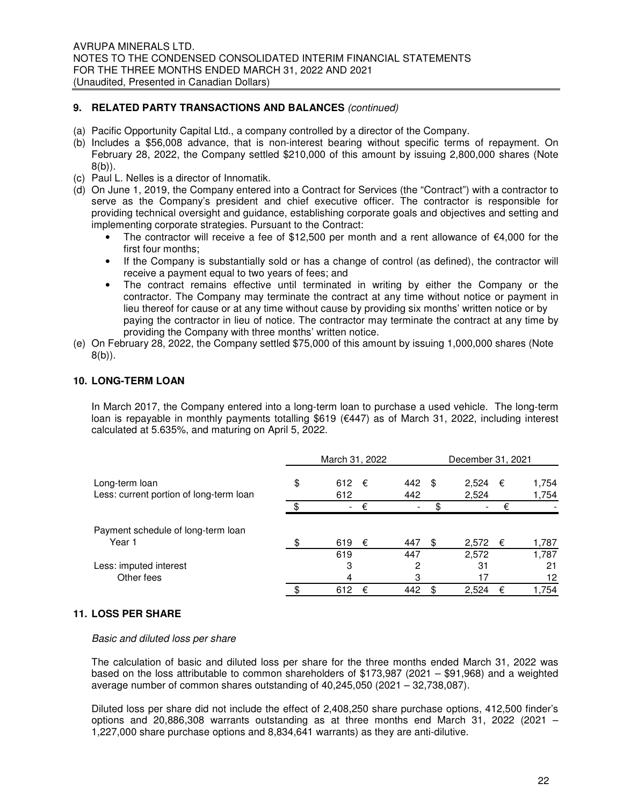#### **9. RELATED PARTY TRANSACTIONS AND BALANCES** (continued)

- (a) Pacific Opportunity Capital Ltd., a company controlled by a director of the Company.
- (b) Includes a \$56,008 advance, that is non-interest bearing without specific terms of repayment. On February 28, 2022, the Company settled \$210,000 of this amount by issuing 2,800,000 shares (Note 8(b)).
- (c) Paul L. Nelles is a director of Innomatik.
- (d) On June 1, 2019, the Company entered into a Contract for Services (the "Contract") with a contractor to serve as the Company's president and chief executive officer. The contractor is responsible for providing technical oversight and guidance, establishing corporate goals and objectives and setting and implementing corporate strategies. Pursuant to the Contract:
	- The contractor will receive a fee of \$12,500 per month and a rent allowance of  $\epsilon$ 4,000 for the first four months;
	- If the Company is substantially sold or has a change of control (as defined), the contractor will receive a payment equal to two years of fees; and
	- The contract remains effective until terminated in writing by either the Company or the contractor. The Company may terminate the contract at any time without notice or payment in lieu thereof for cause or at any time without cause by providing six months' written notice or by paying the contractor in lieu of notice. The contractor may terminate the contract at any time by providing the Company with three months' written notice.
- (e) On February 28, 2022, the Company settled \$75,000 of this amount by issuing 1,000,000 shares (Note 8(b)).

#### **10. LONG-TERM LOAN**

In March 2017, the Company entered into a long-term loan to purchase a used vehicle. The long-term loan is repayable in monthly payments totalling \$619 (€447) as of March 31, 2022, including interest calculated at 5.635%, and maturing on April 5, 2022.

|                                         | March 31, 2022           |   | December 31, 2021 |             |   |       |
|-----------------------------------------|--------------------------|---|-------------------|-------------|---|-------|
| Long-term loan                          | \$<br>612                | € | 442               | \$<br>2,524 | € | 1,754 |
| Less: current portion of long-term loan | 612                      |   | 442               | 2,524       |   | 1,754 |
|                                         | $\overline{\phantom{0}}$ | € |                   |             | € |       |
| Payment schedule of long-term loan      |                          |   |                   |             |   |       |
| Year 1                                  | 619                      | € | 447               | \$<br>2,572 | € | 1,787 |
|                                         | 619                      |   | 447               | 2,572       |   | 1,787 |
| Less: imputed interest                  | 3                        |   | 2                 | 31          |   | 21    |
| Other fees                              | 4                        |   | З                 | 17          |   | 12    |
|                                         | 612                      | € | 442               | \$<br>2,524 | € | 1.754 |

#### **11. LOSS PER SHARE**

#### Basic and diluted loss per share

The calculation of basic and diluted loss per share for the three months ended March 31, 2022 was based on the loss attributable to common shareholders of \$173,987 (2021 – \$91,968) and a weighted average number of common shares outstanding of 40,245,050 (2021 – 32,738,087).

Diluted loss per share did not include the effect of 2,408,250 share purchase options, 412,500 finder's options and 20,886,308 warrants outstanding as at three months end March 31, 2022 (2021 – 1,227,000 share purchase options and 8,834,641 warrants) as they are anti-dilutive.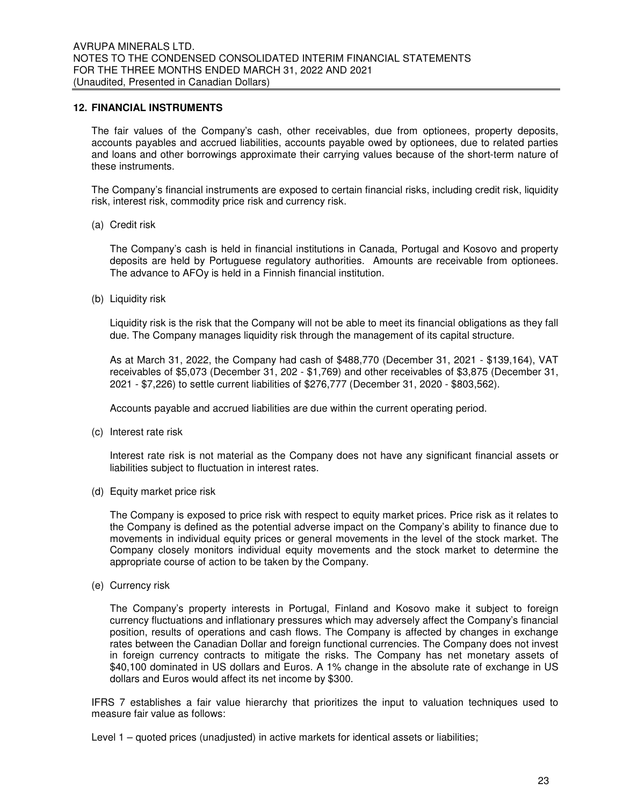#### **12. FINANCIAL INSTRUMENTS**

The fair values of the Company's cash, other receivables, due from optionees, property deposits, accounts payables and accrued liabilities, accounts payable owed by optionees, due to related parties and loans and other borrowings approximate their carrying values because of the short-term nature of these instruments.

The Company's financial instruments are exposed to certain financial risks, including credit risk, liquidity risk, interest risk, commodity price risk and currency risk.

(a) Credit risk

The Company's cash is held in financial institutions in Canada, Portugal and Kosovo and property deposits are held by Portuguese regulatory authorities. Amounts are receivable from optionees. The advance to AFOy is held in a Finnish financial institution.

(b) Liquidity risk

Liquidity risk is the risk that the Company will not be able to meet its financial obligations as they fall due. The Company manages liquidity risk through the management of its capital structure.

As at March 31, 2022, the Company had cash of \$488,770 (December 31, 2021 - \$139,164), VAT receivables of \$5,073 (December 31, 202 - \$1,769) and other receivables of \$3,875 (December 31, 2021 - \$7,226) to settle current liabilities of \$276,777 (December 31, 2020 - \$803,562).

Accounts payable and accrued liabilities are due within the current operating period.

(c) Interest rate risk

Interest rate risk is not material as the Company does not have any significant financial assets or liabilities subject to fluctuation in interest rates.

(d) Equity market price risk

The Company is exposed to price risk with respect to equity market prices. Price risk as it relates to the Company is defined as the potential adverse impact on the Company's ability to finance due to movements in individual equity prices or general movements in the level of the stock market. The Company closely monitors individual equity movements and the stock market to determine the appropriate course of action to be taken by the Company.

(e) Currency risk

The Company's property interests in Portugal, Finland and Kosovo make it subject to foreign currency fluctuations and inflationary pressures which may adversely affect the Company's financial position, results of operations and cash flows. The Company is affected by changes in exchange rates between the Canadian Dollar and foreign functional currencies. The Company does not invest in foreign currency contracts to mitigate the risks. The Company has net monetary assets of \$40,100 dominated in US dollars and Euros. A 1% change in the absolute rate of exchange in US dollars and Euros would affect its net income by \$300.

IFRS 7 establishes a fair value hierarchy that prioritizes the input to valuation techniques used to measure fair value as follows:

Level 1 – quoted prices (unadjusted) in active markets for identical assets or liabilities;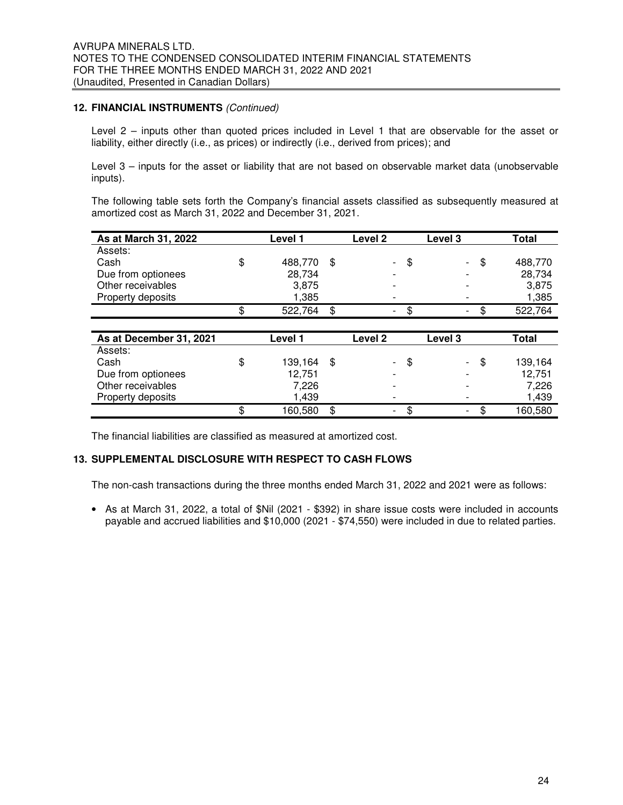#### **12. FINANCIAL INSTRUMENTS** (Continued)

Level 2 – inputs other than quoted prices included in Level 1 that are observable for the asset or liability, either directly (i.e., as prices) or indirectly (i.e., derived from prices); and

Level 3 – inputs for the asset or liability that are not based on observable market data (unobservable inputs).

The following table sets forth the Company's financial assets classified as subsequently measured at amortized cost as March 31, 2022 and December 31, 2021.

| As at March 31, 2022    | Level 1 |         |    |                          | Level 3 | Total                    |    |         |
|-------------------------|---------|---------|----|--------------------------|---------|--------------------------|----|---------|
| Assets:                 |         |         |    |                          |         |                          |    |         |
| Cash                    | \$      | 488,770 | \$ | $\overline{\phantom{0}}$ | \$      | ۰                        | \$ | 488,770 |
| Due from optionees      |         | 28,734  |    | $\overline{\phantom{0}}$ |         | $\overline{\phantom{a}}$ |    | 28,734  |
| Other receivables       |         | 3,875   |    | $\overline{\phantom{0}}$ |         | $\overline{\phantom{0}}$ |    | 3,875   |
| Property deposits       |         | 1,385   |    | -                        |         |                          |    | 1,385   |
|                         |         | 522,764 | \$ | $\overline{\phantom{0}}$ |         | $\overline{\phantom{0}}$ |    | 522,764 |
|                         |         |         |    |                          |         |                          |    |         |
| As at December 31, 2021 |         | Level 1 |    | <b>Level 2</b>           |         | Level 3                  |    | Total   |

| As at December 31, 2021 | Level 1       | Level 2                  |     | Level 3                  |     | Total   |
|-------------------------|---------------|--------------------------|-----|--------------------------|-----|---------|
| Assets:                 |               |                          |     |                          |     |         |
| Cash                    | \$<br>139,164 | $\sim$                   | -SS | $\overline{\phantom{a}}$ | \$. | 139,164 |
| Due from optionees      | 12,751        |                          |     |                          |     | 12.751  |
| Other receivables       | 7.226         | $\overline{\phantom{0}}$ |     | $\overline{\phantom{0}}$ |     | 7,226   |
| Property deposits       | 1.439         | $\overline{\phantom{0}}$ |     | $\overline{\phantom{a}}$ |     | 1,439   |
|                         | 160,580       | $\overline{\phantom{a}}$ |     | $\overline{\phantom{a}}$ |     | 160,580 |

The financial liabilities are classified as measured at amortized cost.

#### **13. SUPPLEMENTAL DISCLOSURE WITH RESPECT TO CASH FLOWS**

The non-cash transactions during the three months ended March 31, 2022 and 2021 were as follows:

• As at March 31, 2022, a total of \$Nil (2021 - \$392) in share issue costs were included in accounts payable and accrued liabilities and \$10,000 (2021 - \$74,550) were included in due to related parties.